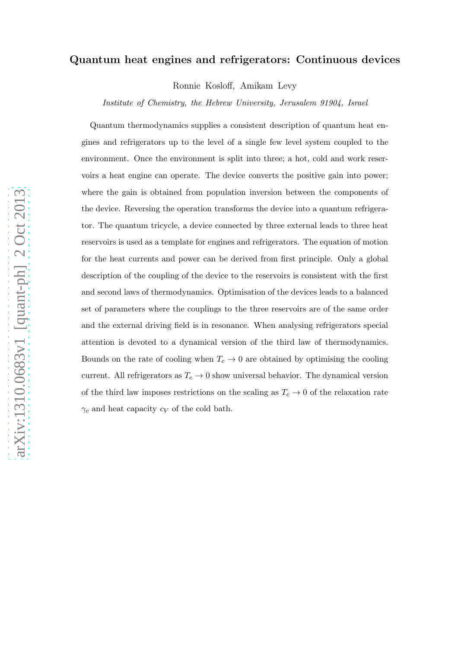# Quantum heat engines and refrigerators: Continuous devices

Ronnie Kosloff, Amikam Levy

*Institute of Chemistry, the Hebrew University, Jerusalem 91904, Israel*

Quantum thermodynamics supplies a consistent description of quantum heat engines and refrigerators up to the level of a single few level system coupled to the environment. Once the environment is split into three; a hot, cold and work reservoirs a heat engine can operate. The device converts the positive gain into power; where the gain is obtained from population inversion between the components of the device. Reversing the operation transforms the device into a quantum refrigerator. The quantum tricycle, a device connected by three external leads to three heat reservoirs is used as a template for engines and refrigerators. The equation of motion for the heat currents and power can be derived from first principle. Only a global description of the coupling of the device to the reservoirs is consistent with the first and second laws of thermodynamics. Optimisation of the devices leads to a balanced set of parameters where the couplings to the three reservoirs are of the same order and the external driving field is in resonance. When analysing refrigerators special attention is devoted to a dynamical version of the third law of thermodynamics. Bounds on the rate of cooling when  $T_c \to 0$  are obtained by optimising the cooling current. All refrigerators as  $T_c \to 0$  show universal behavior. The dynamical version of the third law imposes restrictions on the scaling as  $T_c \rightarrow 0$  of the relaxation rate  $\gamma_c$  and heat capacity  $c_V$  of the cold bath.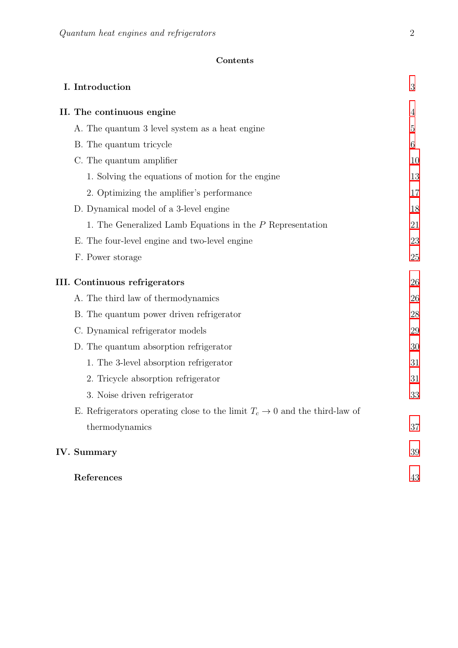# Contents

| I. Introduction                                                                        | $\mathfrak{Z}$ |
|----------------------------------------------------------------------------------------|----------------|
| II. The continuous engine                                                              | 4              |
| A. The quantum 3 level system as a heat engine                                         | $\overline{5}$ |
| B. The quantum tricycle                                                                | 6              |
| C. The quantum amplifier                                                               | 10             |
| 1. Solving the equations of motion for the engine                                      | 13             |
| 2. Optimizing the amplifier's performance                                              | 17             |
| D. Dynamical model of a 3-level engine                                                 | 18             |
| 1. The Generalized Lamb Equations in the $P$ Representation                            | 21             |
| E. The four-level engine and two-level engine                                          | 23             |
| F. Power storage                                                                       | 25             |
| <b>III.</b> Continuous refrigerators                                                   | 26             |
| A. The third law of thermodynamics                                                     | 26             |
| B. The quantum power driven refrigerator                                               | 28             |
| C. Dynamical refrigerator models                                                       | 29             |
| D. The quantum absorption refrigerator                                                 | 30             |
| 1. The 3-level absorption refrigerator                                                 | 31             |
| 2. Tricycle absorption refrigerator                                                    | 31             |
| 3. Noise driven refrigerator                                                           | 33             |
| E. Refrigerators operating close to the limit $T_c \rightarrow 0$ and the third-law of |                |
| thermodynamics                                                                         | 37             |
| IV. Summary                                                                            | 39             |
| References                                                                             | 43             |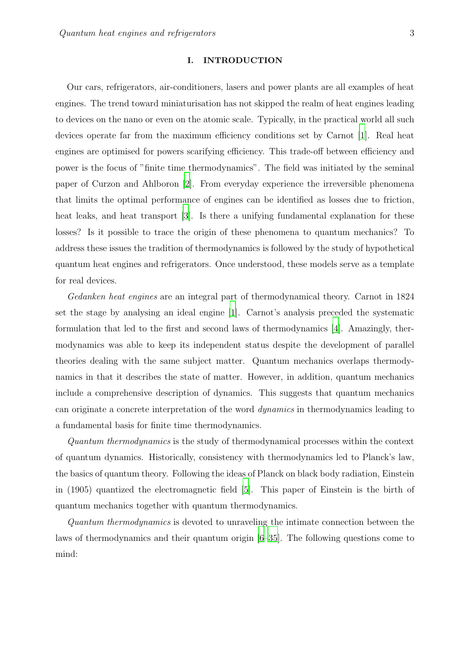#### <span id="page-2-0"></span>I. INTRODUCTION

Our cars, refrigerators, air-conditioners, lasers and power plants are all examples of heat engines. The trend toward miniaturisation has not skipped the realm of heat engines leading to devices on the nano or even on the atomic scale. Typically, in the practical world all such devices operate far from the maximum efficiency conditions set by Carnot [\[1](#page-42-1)]. Real heat engines are optimised for powers scarifying efficiency. This trade-off between efficiency and power is the focus of "finite time thermodynamics". The field was initiated by the seminal paper of Curzon and Ahlboron [\[2](#page-42-2)]. From everyday experience the irreversible phenomena that limits the optimal performance of engines can be identified as losses due to friction, heat leaks, and heat transport [\[3\]](#page-42-3). Is there a unifying fundamental explanation for these losses? Is it possible to trace the origin of these phenomena to quantum mechanics? To address these issues the tradition of thermodynamics is followed by the study of hypothetical quantum heat engines and refrigerators. Once understood, these models serve as a template for real devices.

Gedanken heat engines are an integral part of thermodynamical theory. Carnot in 1824 set the stage by analysing an ideal engine [\[1\]](#page-42-1). Carnot's analysis preceded the systematic formulation that led to the first and second laws of thermodynamics [\[4](#page-42-4)]. Amazingly, thermodynamics was able to keep its independent status despite the development of parallel theories dealing with the same subject matter. Quantum mechanics overlaps thermodynamics in that it describes the state of matter. However, in addition, quantum mechanics include a comprehensive description of dynamics. This suggests that quantum mechanics can originate a concrete interpretation of the word dynamics in thermodynamics leading to a fundamental basis for finite time thermodynamics.

Quantum thermodynamics is the study of thermodynamical processes within the context of quantum dynamics. Historically, consistency with thermodynamics led to Planck's law, the basics of quantum theory. Following the ideas of Planck on black body radiation, Einstein in (1905) quantized the electromagnetic field [\[5\]](#page-42-5). This paper of Einstein is the birth of quantum mechanics together with quantum thermodynamics.

Quantum thermodynamics is devoted to unraveling the intimate connection between the laws of thermodynamics and their quantum origin [\[6](#page-42-6)[–35\]](#page-44-0). The following questions come to mind: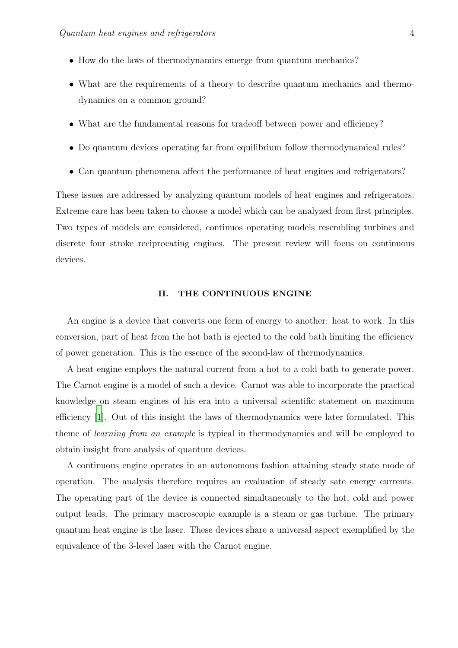- How do the laws of thermodynamics emerge from quantum mechanics?
- What are the requirements of a theory to describe quantum mechanics and thermodynamics on a common ground?
- What are the fundamental reasons for tradeoff between power and efficiency?
- Do quantum devices operating far from equilibrium follow thermodynamical rules?
- Can quantum phenomena affect the performance of heat engines and refrigerators?

These issues are addressed by analyzing quantum models of heat engines and refrigerators. Extreme care has been taken to choose a model which can be analyzed from first principles. Two types of models are considered, continuos operating models resembling turbines and discrete four stroke reciprocating engines. The present review will focus on continuous devices.

## <span id="page-3-0"></span>II. THE CONTINUOUS ENGINE

An engine is a device that converts one form of energy to another: heat to work. In this conversion, part of heat from the hot bath is ejected to the cold bath limiting the efficiency of power generation. This is the essence of the second-law of thermodynamics.

A heat engine employs the natural current from a hot to a cold bath to generate power. The Carnot engine is a model of such a device. Carnot was able to incorporate the practical knowledge on steam engines of his era into a universal scientific statement on maximum efficiency [\[1\]](#page-42-1). Out of this insight the laws of thermodynamics were later formulated. This theme of learning from an example is typical in thermodynamics and will be employed to obtain insight from analysis of quantum devices.

A continuous engine operates in an autonomous fashion attaining steady state mode of operation. The analysis therefore requires an evaluation of steady sate energy currents. The operating part of the device is connected simultaneously to the hot, cold and power output leads. The primary macroscopic example is a steam or gas turbine. The primary quantum heat engine is the laser. These devices share a universal aspect exemplified by the equivalence of the 3-level laser with the Carnot engine.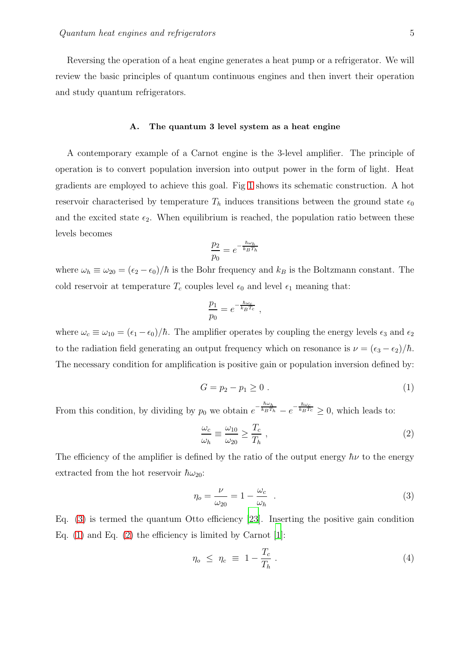Reversing the operation of a heat engine generates a heat pump or a refrigerator. We will review the basic principles of quantum continuous engines and then invert their operation and study quantum refrigerators.

#### <span id="page-4-0"></span>A. The quantum 3 level system as a heat engine

A contemporary example of a Carnot engine is the 3-level amplifier. The principle of operation is to convert population inversion into output power in the form of light. Heat gradients are employed to achieve this goal. Fig [1](#page-5-1) shows its schematic construction. A hot reservoir characterised by temperature  $T_h$  induces transitions between the ground state  $\epsilon_0$ and the excited state  $\epsilon_2$ . When equilibrium is reached, the population ratio between these levels becomes

$$
\frac{p_2}{p_0} = e^{-\frac{\hbar \omega_h}{k_B T_h}}
$$

where  $\omega_h \equiv \omega_{20} = (\epsilon_2 - \epsilon_0)/\hbar$  is the Bohr frequency and  $k_B$  is the Boltzmann constant. The cold reservoir at temperature  $T_c$  couples level  $\epsilon_0$  and level  $\epsilon_1$  meaning that:

$$
\frac{p_1}{p_0} = e^{-\frac{\hbar \omega_c}{k_B T_c}},
$$

where  $\omega_c \equiv \omega_{10} = (\epsilon_1 - \epsilon_0)/\hbar$ . The amplifier operates by coupling the energy levels  $\epsilon_3$  and  $\epsilon_2$ to the radiation field generating an output frequency which on resonance is  $\nu = (\epsilon_3 - \epsilon_2)/\hbar$ . The necessary condition for amplification is positive gain or population inversion defined by:

<span id="page-4-2"></span>
$$
G = p_2 - p_1 \ge 0 \tag{1}
$$

From this condition, by dividing by  $p_0$  we obtain  $e^{-\frac{\hbar \omega_h}{k_B T_h}} - e^{-\frac{\hbar \omega_c}{k_B T_c}} \ge 0$ , which leads to:

<span id="page-4-3"></span>
$$
\frac{\omega_c}{\omega_h} \equiv \frac{\omega_{10}}{\omega_{20}} \ge \frac{T_c}{T_h} \,,\tag{2}
$$

The efficiency of the amplifier is defined by the ratio of the output energy  $\hbar\nu$  to the energy extracted from the hot reservoir  $\hbar\omega_{20}$ :

<span id="page-4-1"></span>
$$
\eta_o = \frac{\nu}{\omega_{20}} = 1 - \frac{\omega_c}{\omega_h} \quad . \tag{3}
$$

Eq. [\(3\)](#page-4-1) is termed the quantum Otto efficiency [\[23\]](#page-43-0). Inserting the positive gain condition Eq.  $(1)$  and Eq.  $(2)$  the efficiency is limited by Carnot [\[1\]](#page-42-1):

$$
\eta_o \le \eta_c \equiv 1 - \frac{T_c}{T_h} \,. \tag{4}
$$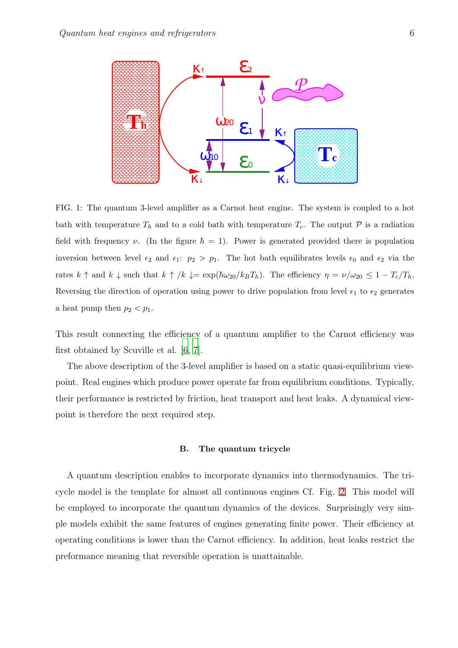

<span id="page-5-1"></span>FIG. 1: The quantum 3-level amplifier as a Carnot heat engine. The system is coupled to a hot bath with temperature  $T_h$  and to a cold bath with temperature  $T_c$ . The output  $P$  is a radiation field with frequency  $\nu$ . (In the figure  $\hbar = 1$ ). Power is generated provided there is population inversion between level  $\epsilon_2$  and  $\epsilon_1$ :  $p_2 > p_1$ . The hot bath equilibrates levels  $\epsilon_0$  and  $\epsilon_2$  via the rates  $k \uparrow$  and  $k \downarrow$  such that  $k \uparrow /k \downarrow = \exp(\hbar \omega_{20}/k_B T_h)$ . The efficiency  $\eta = \nu/\omega_{20} \leq 1 - T_c/T_h$ . Reversing the direction of operation using power to drive population from level  $\epsilon_1$  to  $\epsilon_2$  generates a heat pump then  $p_2 < p_1$ .

This result connecting the efficiency of a quantum amplifier to the Carnot efficiency was first obtained by Scuville et al. [\[6](#page-42-6), [7](#page-42-7)].

The above description of the 3-level amplifier is based on a static quasi-equilibrium viewpoint. Real engines which produce power operate far from equilibrium conditions. Typically, their performance is restricted by friction, heat transport and heat leaks. A dynamical viewpoint is therefore the next required step.

#### <span id="page-5-0"></span>B. The quantum tricycle

A quantum description enables to incorporate dynamics into thermodynamics. The tricycle model is the template for almost all continuous engines Cf. Fig. [2.](#page-6-0) This model will be employed to incorporate the quantum dynamics of the devices. Surprisingly very simple models exhibit the same features of engines generating finite power. Their efficiency at operating conditions is lower than the Carnot efficiency. In addition, heat leaks restrict the preformance meaning that reversible operation is unattainable.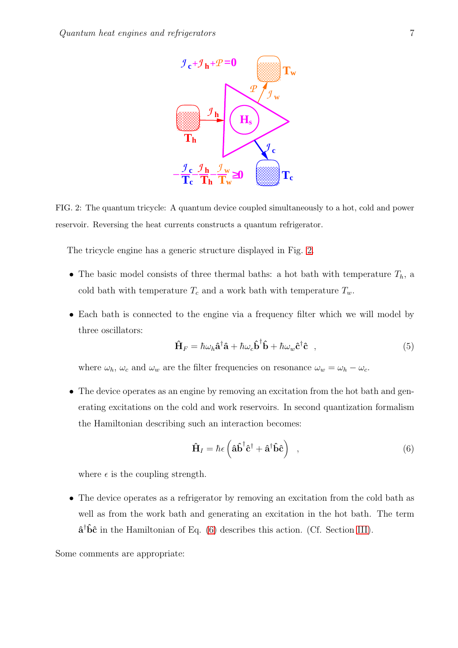

<span id="page-6-0"></span>FIG. 2: The quantum tricycle: A quantum device coupled simultaneously to a hot, cold and power reservoir. Reversing the heat currents constructs a quantum refrigerator.

The tricycle engine has a generic structure displayed in Fig. [2.](#page-6-0)

- The basic model consists of three thermal baths: a hot bath with temperature  $T_h$ , a cold bath with temperature  $T_c$  and a work bath with temperature  $T_w$ .
- Each bath is connected to the engine via a frequency filter which we will model by three oscillators:

<span id="page-6-2"></span>
$$
\hat{\mathbf{H}}_F = \hbar \omega_h \hat{\mathbf{a}}^\dagger \hat{\mathbf{a}} + \hbar \omega_c \hat{\mathbf{b}}^\dagger \hat{\mathbf{b}} + \hbar \omega_w \hat{\mathbf{c}}^\dagger \hat{\mathbf{c}} \quad , \tag{5}
$$

where  $\omega_h$ ,  $\omega_c$  and  $\omega_w$  are the filter frequencies on resonance  $\omega_w = \omega_h - \omega_c$ .

• The device operates as an engine by removing an excitation from the hot bath and generating excitations on the cold and work reservoirs. In second quantization formalism the Hamiltonian describing such an interaction becomes:

<span id="page-6-1"></span>
$$
\hat{\mathbf{H}}_{I} = \hbar \epsilon \left( \hat{\mathbf{a}} \hat{\mathbf{b}}^{\dagger} \hat{\mathbf{c}}^{\dagger} + \hat{\mathbf{a}}^{\dagger} \hat{\mathbf{b}} \hat{\mathbf{c}} \right) , \qquad (6)
$$

where  $\epsilon$  is the coupling strength.

• The device operates as a refrigerator by removing an excitation from the cold bath as well as from the work bath and generating an excitation in the hot bath. The term  $\hat{a}^{\dagger} \hat{b} \hat{c}$  in the Hamiltonian of Eq. [\(6\)](#page-6-1) describes this action. (Cf. Section [III\)](#page-25-0).

Some comments are appropriate: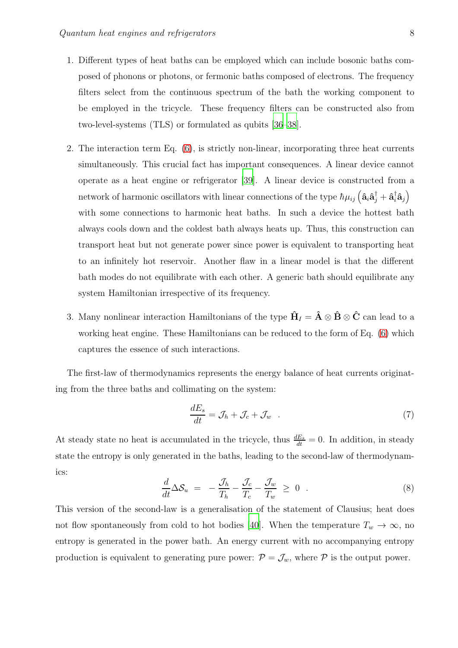- 1. Different types of heat baths can be employed which can include bosonic baths composed of phonons or photons, or fermonic baths composed of electrons. The frequency filters select from the continuous spectrum of the bath the working component to be employed in the tricycle. These frequency filters can be constructed also from two-level-systems (TLS) or formulated as qubits [\[36](#page-44-1)[–38](#page-44-2)].
- 2. The interaction term Eq. [\(6\)](#page-6-1), is strictly non-linear, incorporating three heat currents simultaneously. This crucial fact has important consequences. A linear device cannot operate as a heat engine or refrigerator [\[39](#page-44-3)]. A linear device is constructed from a network of harmonic oscillators with linear connections of the type  $\hbar\mu_{ij}\left(\hat{\bf a}_i\hat{\bf a}_j^\dagger+\hat{\bf a}_i^\dagger\hat{\bf a}_j\right)$ with some connections to harmonic heat baths. In such a device the hottest bath always cools down and the coldest bath always heats up. Thus, this construction can transport heat but not generate power since power is equivalent to transporting heat to an infinitely hot reservoir. Another flaw in a linear model is that the different bath modes do not equilibrate with each other. A generic bath should equilibrate any system Hamiltonian irrespective of its frequency.
- 3. Many nonlinear interaction Hamiltonians of the type  $\hat{H}_I = \hat{A} \otimes \hat{B} \otimes \hat{C}$  can lead to a working heat engine. These Hamiltonians can be reduced to the form of Eq. [\(6\)](#page-6-1) which captures the essence of such interactions.

The first-law of thermodynamics represents the energy balance of heat currents originating from the three baths and collimating on the system:

<span id="page-7-1"></span>
$$
\frac{dE_s}{dt} = \mathcal{J}_h + \mathcal{J}_c + \mathcal{J}_w \quad . \tag{7}
$$

At steady state no heat is accumulated in the tricycle, thus  $\frac{dE_s}{dt} = 0$ . In addition, in steady state the entropy is only generated in the baths, leading to the second-law of thermodynamics:

<span id="page-7-0"></span>
$$
\frac{d}{dt}\Delta S_u = -\frac{\mathcal{J}_h}{T_h} - \frac{\mathcal{J}_c}{T_c} - \frac{\mathcal{J}_w}{T_w} \ge 0 \quad . \tag{8}
$$

This version of the second-law is a generalisation of the statement of Clausius; heat does not flow spontaneously from cold to hot bodies [\[40](#page-44-4)]. When the temperature  $T_w \to \infty$ , no entropy is generated in the power bath. An energy current with no accompanying entropy production is equivalent to generating pure power:  $\mathcal{P} = \mathcal{J}_w$ , where  $\mathcal{P}$  is the output power.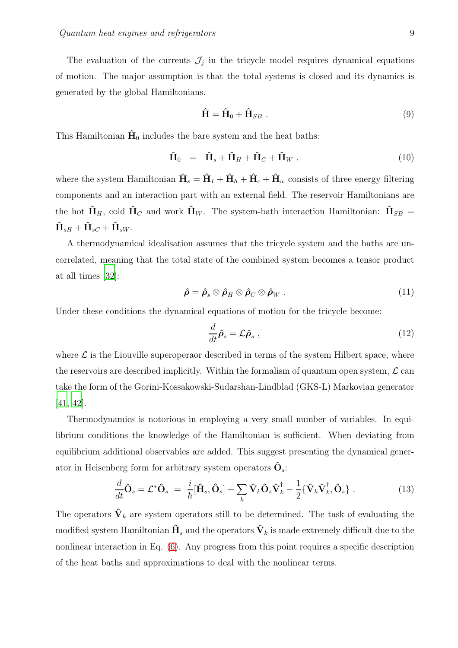The evaluation of the currents  $\mathcal{J}_j$  in the tricycle model requires dynamical equations of motion. The major assumption is that the total systems is closed and its dynamics is generated by the global Hamiltonians.

$$
\hat{\mathbf{H}} = \hat{\mathbf{H}}_0 + \hat{\mathbf{H}}_{SB} . \tag{9}
$$

This Hamiltonian  $\dot{H}_0$  includes the bare system and the heat baths:

$$
\hat{\mathbf{H}}_0 = \hat{\mathbf{H}}_s + \hat{\mathbf{H}}_H + \hat{\mathbf{H}}_C + \hat{\mathbf{H}}_W , \qquad (10)
$$

where the system Hamiltonian  $\hat{H}_s = \hat{H}_I + \hat{H}_h + \hat{H}_c + \hat{H}_w$  consists of three energy filtering components and an interaction part with an external field. The reservoir Hamiltonians are the hot  $\hat{H}_H$ , cold  $\hat{H}_C$  and work  $\hat{H}_W$ . The system-bath interaction Hamiltonian:  $\hat{H}_{SB}$  =  $\hat{\mathbf{H}}_{sH} + \hat{\mathbf{H}}_{sC} + \hat{\mathbf{H}}_{sW}.$ 

A thermodynamical idealisation assumes that the tricycle system and the baths are uncorrelated, meaning that the total state of the combined system becomes a tensor product at all times [\[32\]](#page-43-1):

$$
\hat{\rho} = \hat{\rho}_s \otimes \hat{\rho}_H \otimes \hat{\rho}_C \otimes \hat{\rho}_W . \qquad (11)
$$

Under these conditions the dynamical equations of motion for the tricycle become:

$$
\frac{d}{dt}\hat{\rho}_s = \mathcal{L}\hat{\rho}_s \;, \tag{12}
$$

where  $\mathcal L$  is the Liouville superoperaor described in terms of the system Hilbert space, where the reservoirs are described implicitly. Within the formalism of quantum open system,  $\mathcal{L}$  can take the form of the Gorini-Kossakowski-Sudarshan-Lindblad (GKS-L) Markovian generator [\[41](#page-44-5), [42\]](#page-44-6).

Thermodynamics is notorious in employing a very small number of variables. In equilibrium conditions the knowledge of the Hamiltonian is sufficient. When deviating from equilibrium additional observables are added. This suggest presenting the dynamical generator in Heisenberg form for arbitrary system operators  $\hat{\mathbf{O}}_{s}$ :

$$
\frac{d}{dt}\hat{\mathbf{O}}_s = \mathcal{L}^*\hat{\mathbf{O}}_s = \frac{i}{\hbar}[\hat{\mathbf{H}}_s, \hat{\mathbf{O}}_s] + \sum_k \hat{\mathbf{V}}_k \hat{\mathbf{O}}_s \hat{\mathbf{V}}_k^\dagger - \frac{1}{2} \{\hat{\mathbf{V}}_k \hat{\mathbf{V}}_k^\dagger, \hat{\mathbf{O}}_s\} \ . \tag{13}
$$

The operators  $\hat{\mathbf{V}}_k$  are system operators still to be determined. The task of evaluating the modified system Hamiltonian  $\hat{H}_s$  and the operators  $\hat{V}_k$  is made extremely difficult due to the nonlinear interaction in Eq. [\(6\)](#page-6-1). Any progress from this point requires a specific description of the heat baths and approximations to deal with the nonlinear terms.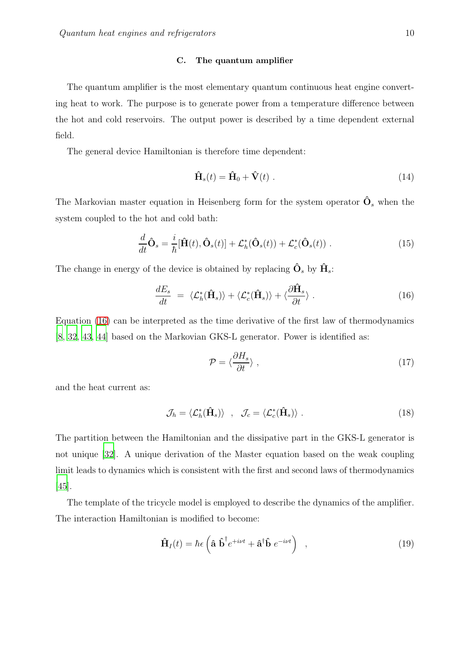#### <span id="page-9-0"></span>C. The quantum amplifier

The quantum amplifier is the most elementary quantum continuous heat engine converting heat to work. The purpose is to generate power from a temperature difference between the hot and cold reservoirs. The output power is described by a time dependent external field.

The general device Hamiltonian is therefore time dependent:

$$
\hat{\mathbf{H}}_s(t) = \hat{\mathbf{H}}_0 + \hat{\mathbf{V}}(t) \tag{14}
$$

The Markovian master equation in Heisenberg form for the system operator  $\hat{\mathbf{O}}_s$  when the system coupled to the hot and cold bath:

$$
\frac{d}{dt}\hat{\mathbf{O}}_s = \frac{i}{\hbar}[\hat{\mathbf{H}}(t), \hat{\mathbf{O}}_s(t)] + \mathcal{L}_h^*(\hat{\mathbf{O}}_s(t)) + \mathcal{L}_c^*(\hat{\mathbf{O}}_s(t)) .
$$
\n(15)

The change in energy of the device is obtained by replacing  $\hat{\mathbf{O}}_s$  by  $\hat{\mathbf{H}}_s$ :

<span id="page-9-1"></span>
$$
\frac{dE_s}{dt} = \langle \mathcal{L}_h^*(\hat{\mathbf{H}}_s) \rangle + \langle \mathcal{L}_c^*(\hat{\mathbf{H}}_s) \rangle + \langle \frac{\partial \hat{\mathbf{H}}_s}{\partial t} \rangle . \tag{16}
$$

Equation [\(16\)](#page-9-1) can be interpreted as the time derivative of the first law of thermodynamics [\[8](#page-42-8), [32,](#page-43-1) [43,](#page-44-7) [44\]](#page-44-8) based on the Markovian GKS-L generator. Power is identified as:

$$
\mathcal{P} = \langle \frac{\partial H_s}{\partial t} \rangle \;, \tag{17}
$$

and the heat current as:

$$
\mathcal{J}_h = \langle \mathcal{L}_h^*(\hat{\mathbf{H}}_s) \rangle \quad , \quad \mathcal{J}_c = \langle \mathcal{L}_c^*(\hat{\mathbf{H}}_s) \rangle \; . \tag{18}
$$

The partition between the Hamiltonian and the dissipative part in the GKS-L generator is not unique [\[32](#page-43-1)]. A unique derivation of the Master equation based on the weak coupling limit leads to dynamics which is consistent with the first and second laws of thermodynamics [\[45\]](#page-44-9).

The template of the tricycle model is employed to describe the dynamics of the amplifier. The interaction Hamiltonian is modified to become:

$$
\hat{\mathbf{H}}_I(t) = \hbar \epsilon \left( \hat{\mathbf{a}} \hat{\mathbf{b}}^\dagger e^{+i\nu t} + \hat{\mathbf{a}}^\dagger \hat{\mathbf{b}} e^{-i\nu t} \right) , \qquad (19)
$$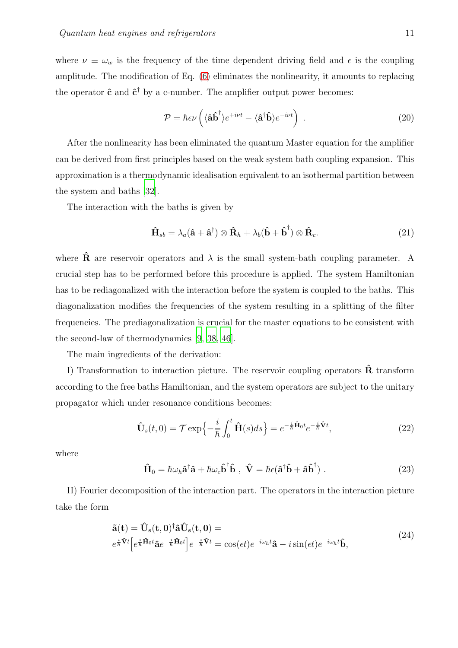where  $\nu \equiv \omega_w$  is the frequency of the time dependent driving field and  $\epsilon$  is the coupling amplitude. The modification of Eq. [\(6\)](#page-6-1) eliminates the nonlinearity, it amounts to replacing the operator  $\hat{c}$  and  $\hat{c}^{\dagger}$  by a c-number. The amplifier output power becomes:

$$
\mathcal{P} = \hbar \epsilon \nu \left( \langle \hat{\mathbf{a}} \hat{\mathbf{b}}^{\dagger} \rangle e^{+i\nu t} - \langle \hat{\mathbf{a}}^{\dagger} \hat{\mathbf{b}} \rangle e^{-i\nu t} \right) . \tag{20}
$$

After the nonlinearity has been eliminated the quantum Master equation for the amplifier can be derived from first principles based on the weak system bath coupling expansion. This approximation is a thermodynamic idealisation equivalent to an isothermal partition between the system and baths [\[32\]](#page-43-1).

The interaction with the baths is given by

$$
\hat{\mathbf{H}}_{sb} = \lambda_a (\hat{\mathbf{a}} + \hat{\mathbf{a}}^{\dagger}) \otimes \hat{\mathbf{R}}_h + \lambda_b (\hat{\mathbf{b}} + \hat{\mathbf{b}}^{\dagger}) \otimes \hat{\mathbf{R}}_c.
$$
\n(21)

where  $\hat{\mathbf{R}}$  are reservoir operators and  $\lambda$  is the small system-bath coupling parameter. A crucial step has to be performed before this procedure is applied. The system Hamiltonian has to be rediagonalized with the interaction before the system is coupled to the baths. This diagonalization modifies the frequencies of the system resulting in a splitting of the filter frequencies. The prediagonalization is crucial for the master equations to be consistent with the second-law of thermodynamics [\[9](#page-42-9), [38,](#page-44-2) [46\]](#page-44-10).

The main ingredients of the derivation:

I) Transformation to interaction picture. The reservoir coupling operators  $\hat{\mathbf{R}}$  transform according to the free baths Hamiltonian, and the system operators are subject to the unitary propagator which under resonance conditions becomes:

$$
\hat{\mathbf{U}}_s(t,0) = \mathcal{T} \exp\left\{-\frac{i}{\hbar} \int_0^t \hat{\mathbf{H}}(s)ds\right\} = e^{-\frac{i}{\hbar} \hat{\mathbf{H}}_0 t} e^{-\frac{i}{\hbar} \hat{\mathbf{V}} t},\tag{22}
$$

where

$$
\hat{\mathbf{H}}_0 = \hbar \omega_h \hat{\mathbf{a}}^\dagger \hat{\mathbf{a}} + \hbar \omega_c \hat{\mathbf{b}}^\dagger \hat{\mathbf{b}} \ , \ \hat{\mathbf{V}} = \hbar \epsilon (\hat{\mathbf{a}}^\dagger \hat{\mathbf{b}} + \hat{\mathbf{a}} \hat{\mathbf{b}}^\dagger) \ . \tag{23}
$$

II) Fourier decomposition of the interaction part. The operators in the interaction picture take the form

$$
\tilde{\mathbf{a}}(\mathbf{t}) = \hat{\mathbf{U}}_{\mathbf{s}}(\mathbf{t}, \mathbf{0})^{\dagger} \hat{\mathbf{a}} \hat{\mathbf{U}}_{\mathbf{s}}(\mathbf{t}, \mathbf{0}) = \ne^{\frac{i}{\hbar} \hat{\mathbf{V}} t} \left[ e^{\frac{i}{\hbar} \hat{\mathbf{H}}_0 t} \hat{\mathbf{a}} e^{-\frac{i}{\hbar} \hat{\mathbf{H}}_0 t} \right] e^{-\frac{i}{\hbar} \hat{\mathbf{V}} t} = \cos(\epsilon t) e^{-i\omega_h t} \hat{\mathbf{a}} - i \sin(\epsilon t) e^{-i\omega_h t} \hat{\mathbf{b}},
$$
\n(24)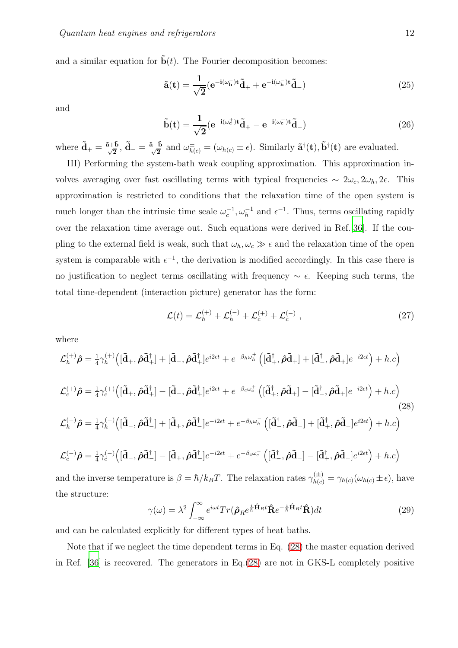and a similar equation for  $\ddot{b}(t)$ . The Fourier decomposition becomes:

$$
\tilde{\mathbf{a}}(\mathbf{t}) = \frac{1}{\sqrt{2}} (\mathbf{e}^{-\mathbf{i}(\omega_{\mathbf{h}}^{+})\mathbf{t}} \tilde{\mathbf{d}}_{+} + \mathbf{e}^{-\mathbf{i}(\omega_{\mathbf{h}}^{-})\mathbf{t}} \tilde{\mathbf{d}}_{-})
$$
(25)

and

$$
\tilde{\mathbf{b}}(\mathbf{t}) = \frac{1}{\sqrt{2}} (\mathbf{e}^{-\mathbf{i}(\omega_{\mathbf{c}}^{+})\mathbf{t}} \tilde{\mathbf{d}}_{+} - \mathbf{e}^{-\mathbf{i}(\omega_{\mathbf{c}}^{-})\mathbf{t}} \tilde{\mathbf{d}}_{-})
$$
(26)

where  $\tilde{\mathbf{d}}_{+} = \frac{\tilde{\mathbf{a}} + \tilde{\mathbf{b}}}{\sqrt{2}}, \tilde{\mathbf{d}}_{-} = \frac{\tilde{\mathbf{a}} - \tilde{\mathbf{b}}}{\sqrt{2}}$  and  $\omega_{h(c)}^{\pm} = (\omega_{h(c)} \pm \epsilon)$ . Similarly  $\tilde{\mathbf{a}}^{\dagger}(\mathbf{t}), \tilde{\mathbf{b}}^{\dagger}(\mathbf{t})$  are evaluated.

III) Performing the system-bath weak coupling approximation. This approximation involves averaging over fast oscillating terms with typical frequencies  $\sim 2\omega_c, 2\omega_h, 2\epsilon$ . This approximation is restricted to conditions that the relaxation time of the open system is much longer than the intrinsic time scale  $\omega_c^{-1}, \omega_h^{-1}$  and  $\epsilon^{-1}$ . Thus, terms oscillating rapidly over the relaxation time average out. Such equations were derived in Ref.[\[36\]](#page-44-1). If the coupling to the external field is weak, such that  $\omega_h, \omega_c \gg \epsilon$  and the relaxation time of the open system is comparable with  $\epsilon^{-1}$ , the derivation is modified accordingly. In this case there is no justification to neglect terms oscillating with frequency  $\sim \epsilon$ . Keeping such terms, the total time-dependent (interaction picture) generator has the form:

$$
\mathcal{L}(t) = \mathcal{L}_h^{(+)} + \mathcal{L}_h^{(-)} + \mathcal{L}_c^{(+)} + \mathcal{L}_c^{(-)} ,
$$
 (27)

where

<span id="page-11-0"></span>
$$
\mathcal{L}_{h}^{(+)}\hat{\rho} = \frac{1}{4}\gamma_{h}^{(+)}\Big([\tilde{\mathbf{d}}_{+},\hat{\rho}\tilde{\mathbf{d}}_{+}^{\dagger}] + [\tilde{\mathbf{d}}_{-},\hat{\rho}\tilde{\mathbf{d}}_{+}^{\dagger}]e^{i2\epsilon t} + e^{-\beta_{h}\omega_{h}^{+}}\Big([\tilde{\mathbf{d}}_{+}^{\dagger},\hat{\rho}\tilde{\mathbf{d}}_{+}] + [\tilde{\mathbf{d}}_{-}^{\dagger},\hat{\rho}\tilde{\mathbf{d}}_{+}]e^{-i2\epsilon t}\Big) + h.c\Big)
$$
  

$$
\mathcal{L}_{c}^{(+)}\hat{\rho} = \frac{1}{4}\gamma_{c}^{(+)}\Big([\tilde{\mathbf{d}}_{+},\hat{\rho}\tilde{\mathbf{d}}_{+}^{\dagger}] - [\tilde{\mathbf{d}}_{-},\hat{\rho}\tilde{\mathbf{d}}_{+}^{\dagger}]e^{i2\epsilon t} + e^{-\beta_{c}\omega_{c}^{+}}\Big([\tilde{\mathbf{d}}_{+}^{\dagger},\hat{\rho}\tilde{\mathbf{d}}_{+}] - [\tilde{\mathbf{d}}_{-}^{\dagger},\hat{\rho}\tilde{\mathbf{d}}_{+}]e^{-i2\epsilon t}\Big) + h.c\Big)
$$
  

$$
\mathcal{L}_{h}^{(-)}\hat{\rho} = \frac{1}{4}\gamma_{h}^{(-)}\Big([\tilde{\mathbf{d}}_{-},\hat{\rho}\tilde{\mathbf{d}}_{-}^{\dagger}] + [\tilde{\mathbf{d}}_{+},\hat{\rho}\tilde{\mathbf{d}}_{-}^{\dagger}]e^{-i2\epsilon t} + e^{-\beta_{h}\omega_{h}^{-}}\Big([\tilde{\mathbf{d}}_{-}^{\dagger},\hat{\rho}\tilde{\mathbf{d}}_{-}] + [\tilde{\mathbf{d}}_{+}^{\dagger},\hat{\rho}\tilde{\mathbf{d}}_{-}]e^{i2\epsilon t}\Big) + h.c\Big)
$$
  
(28)

$$
\mathcal{L}_c^{(-)}\hat{\rho} = \frac{1}{4}\gamma_c^{(-)}\Big([\tilde{\mathbf{d}}_-,\hat{\rho}\tilde{\mathbf{d}}_-^{\dagger}] - [\tilde{\mathbf{d}}_+,\hat{\rho}\tilde{\mathbf{d}}_-^{\dagger}]e^{-i2\epsilon t} + e^{-\beta_c\omega_c^{-}}\left([\tilde{\mathbf{d}}_-^{\dagger},\hat{\rho}\tilde{\mathbf{d}}_-] - [\tilde{\mathbf{d}}_+^{\dagger},\hat{\rho}\tilde{\mathbf{d}}_-]e^{i2\epsilon t}\right) + h.c\Big)
$$

and the inverse temperature is  $\beta = \hbar / k_B T$ . The relaxation rates  $\gamma_{h(c)}^{(\pm)} = \gamma_{h(c)}(\omega_{h(c)} \pm \epsilon)$ , have the structure:

$$
\gamma(\omega) = \lambda^2 \int_{-\infty}^{\infty} e^{i\omega t} Tr(\hat{\boldsymbol{\rho}}_R e^{\frac{i}{\hbar} \hat{\mathbf{H}}_R t} \hat{\mathbf{R}} e^{-\frac{i}{\hbar} \hat{\mathbf{H}}_R t} \hat{\mathbf{R}}) dt
$$
(29)

and can be calculated explicitly for different types of heat baths.

Note that if we neglect the time dependent terms in Eq. [\(28\)](#page-11-0) the master equation derived in Ref. [\[36](#page-44-1)] is recovered. The generators in Eq.[\(28\)](#page-11-0) are not in GKS-L completely positive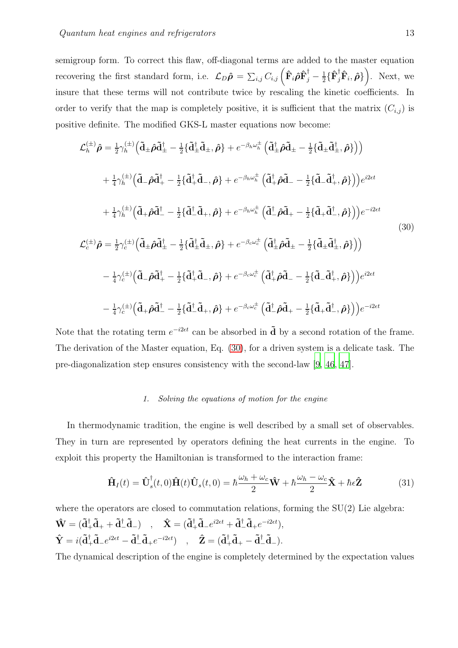semigroup form. To correct this flaw, off-diagonal terms are added to the master equation recovering the first standard form, i.e.  $\mathcal{L}_D \hat{\rho} = \sum_{i,j} C_{i,j} \left( \hat{\mathbf{F}}_i \hat{\rho} \hat{\mathbf{F}}_j^{\dagger} - \frac{1}{2} \right)$  $\frac{1}{2} \{ \hat{\mathbf{F}}_j^{\dagger} \hat{\mathbf{F}}_i, \hat{\boldsymbol{\rho}} \}$ . Next, we insure that these terms will not contribute twice by rescaling the kinetic coefficients. In order to verify that the map is completely positive, it is sufficient that the matrix  $(C_{i,j})$  is positive definite. The modified GKS-L master equations now become:

<span id="page-12-1"></span>
$$
\mathcal{L}_{h}^{(\pm)} \hat{\rho} = \frac{1}{2} \gamma_{h}^{(\pm)} \Big( \tilde{\mathbf{d}}_{\pm} \hat{\rho} \tilde{\mathbf{d}}_{\pm}^{\dagger} - \frac{1}{2} \{ \tilde{\mathbf{d}}_{\pm}^{\dagger} \tilde{\mathbf{d}}_{\pm} \hat{\rho} \} + e^{-\beta_{h} \omega_{h}^{\pm}} \Big( \tilde{\mathbf{d}}_{\pm}^{\dagger} \hat{\rho} \tilde{\mathbf{d}}_{\pm} - \frac{1}{2} \{ \tilde{\mathbf{d}}_{\pm} \tilde{\rho} \tilde{\mathbf{d}}_{\pm} - \frac{1}{2} \{ \tilde{\mathbf{d}}_{\pm} \tilde{\rho} \tilde{\mathbf{d}}_{\pm} - \frac{1}{2} \{ \tilde{\mathbf{d}}_{\pm} \tilde{\rho} \tilde{\mathbf{d}}_{\pm} - \frac{1}{2} \{ \tilde{\mathbf{d}}_{\pm} \tilde{\rho} \tilde{\mathbf{d}}_{\pm} - \frac{1}{2} \{ \tilde{\mathbf{d}}_{\pm} \tilde{\rho} \tilde{\mathbf{d}}_{\pm} - \frac{1}{2} \{ \tilde{\mathbf{d}}_{\pm} \tilde{\rho} \tilde{\mathbf{d}}_{\pm} - \frac{1}{2} \{ \tilde{\mathbf{d}}_{\pm} \tilde{\rho} \tilde{\mathbf{d}}_{\pm} - \frac{1}{2} \{ \tilde{\mathbf{d}}_{\pm} \tilde{\rho} \tilde{\mathbf{d}}_{\pm} - \frac{1}{2} \{ \tilde{\mathbf{d}}_{\pm} \tilde{\rho} \tilde{\mathbf{d}}_{\pm} - \frac{1}{2} \{ \tilde{\mathbf{d}}_{\pm} \tilde{\rho} \tilde{\mathbf{d}}_{\pm} - \frac{1}{2} \{ \tilde{\mathbf{d}}_{\pm} \tilde{\rho} \tilde{\mathbf{d}}_{\pm} - \frac{1}{2} \{ \tilde{\mathbf{d}}_{\pm} \tilde{\rho} \tilde{\mathbf{d}}_{\pm} - \frac{1}{2} \{ \tilde{\mathbf{d}}_{\pm} \tilde{\rho} \tilde{\mathbf{d}}_{\pm} - \frac{1}{2} \{ \tilde{\mathbf{d}}_{\pm} \tilde{\rho} \tilde{\mathbf{d
$$

Note that the rotating term  $e^{-i2\epsilon t}$  can be absorbed in  $\tilde{\mathbf{d}}$  by a second rotation of the frame. The derivation of the Master equation, Eq. [\(30\)](#page-12-1), for a driven system is a delicate task. The pre-diagonalization step ensures consistency with the second-law [\[9,](#page-42-9) [46,](#page-44-10) [47](#page-44-11)].

## <span id="page-12-0"></span>*1. Solving the equations of motion for the engine*

In thermodynamic tradition, the engine is well described by a small set of observables. They in turn are represented by operators defining the heat currents in the engine. To exploit this property the Hamiltonian is transformed to the interaction frame:

$$
\hat{\mathbf{H}}_I(t) = \hat{\mathbf{U}}_s^\dagger(t,0)\hat{\mathbf{H}}(t)\hat{\mathbf{U}}_s(t,0) = \hbar \frac{\omega_h + \omega_c}{2}\hat{\mathbf{W}} + \hbar \frac{\omega_h - \omega_c}{2}\hat{\mathbf{X}} + \hbar \epsilon \hat{\mathbf{Z}}
$$
(31)

where the operators are closed to commutation relations, forming the  $SU(2)$  Lie algebra:  $\hat{\mathbf{W}} = (\tilde{\mathbf{d}}_+^{\dagger} \tilde{\mathbf{d}}_+ + \tilde{\mathbf{d}}_-^{\dagger} \tilde{\mathbf{d}}_-) \quad , \quad \hat{\mathbf{X}} = (\tilde{\mathbf{d}}_+^{\dagger} \tilde{\mathbf{d}}_- e^{i2\epsilon t} + \tilde{\mathbf{d}}_-^{\dagger} \tilde{\mathbf{d}}_+ e^{-i2\epsilon t}),$  $\hat{\mathbf{Y}} = i(\tilde{\mathbf{d}}_+^{\dagger} \tilde{\mathbf{d}}_- e^{i2\epsilon t} - \tilde{\mathbf{d}}_-^{\dagger} \tilde{\mathbf{d}}_+ e^{-i2\epsilon t}) \quad , \quad \hat{\mathbf{Z}} = (\tilde{\mathbf{d}}_+^{\dagger} \tilde{\mathbf{d}}_+ - \tilde{\mathbf{d}}_-^{\dagger} \tilde{\mathbf{d}}_-).$ 

The dynamical description of the engine is completely determined by the expectation values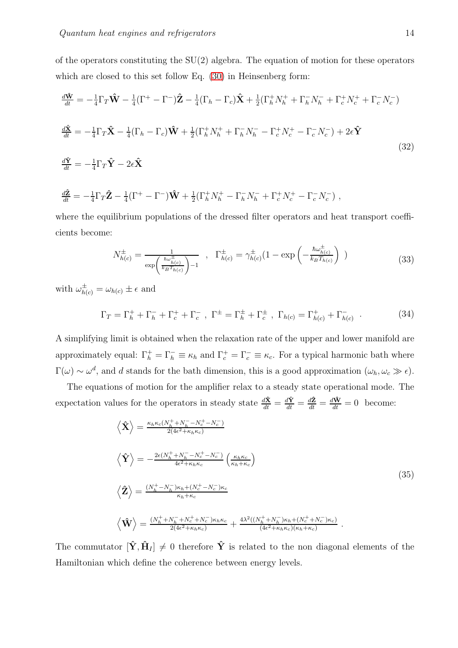of the operators constituting the SU(2) algebra. The equation of motion for these operators which are closed to this set follow Eq. [\(30\)](#page-12-1) in Heinsenberg form:

$$
\frac{d\hat{\mathbf{W}}}{dt} = -\frac{1}{4}\Gamma_T\hat{\mathbf{W}} - \frac{1}{4}(\Gamma^+ - \Gamma^-)\hat{\mathbf{Z}} - \frac{1}{4}(\Gamma_h - \Gamma_c)\hat{\mathbf{X}} + \frac{1}{2}(\Gamma_h^+N_h^+ + \Gamma_h^-N_h^- + \Gamma_c^+N_c^+ + \Gamma_c^-N_c^-)
$$
\n
$$
\frac{d\hat{\mathbf{X}}}{dt} = -\frac{1}{4}\Gamma_T\hat{\mathbf{X}} - \frac{1}{4}(\Gamma_h - \Gamma_c)\hat{\mathbf{W}} + \frac{1}{2}(\Gamma_h^+N_h^+ + \Gamma_h^-N_h^- - \Gamma_c^+N_c^+ - \Gamma_c^-N_c^-) + 2\epsilon\hat{\mathbf{Y}}
$$
\n
$$
\frac{d\hat{\mathbf{Y}}}{dt} = -\frac{1}{4}\Gamma_T\hat{\mathbf{Y}} - 2\epsilon\hat{\mathbf{X}}
$$
\n(32)

$$
\frac{d\hat{\mathbf{Z}}}{dt} = -\frac{1}{4}\Gamma_T\hat{\mathbf{Z}} - \frac{1}{4}(\Gamma^+ - \Gamma^-)\hat{\mathbf{W}} + \frac{1}{2}(\Gamma^+_h N^+_h - \Gamma^-_h N^-_h + \Gamma^+_c N^+_c - \Gamma^-_c N^-_c) ,
$$

where the equilibrium populations of the dressed filter operators and heat transport coefficients become:

$$
N_{h(c)}^{\pm} = \frac{1}{\exp\left(\frac{\hbar\omega_{h(c)}^{\pm}}{k_{B}T_{h(c)}}\right) - 1} \quad , \quad \Gamma_{h(c)}^{\pm} = \gamma_{h(c)}^{\pm} (1 - \exp\left(-\frac{\hbar\omega_{h(c)}^{\pm}}{k_{B}T_{h(c)}}\right) \quad )
$$
 (33)

with  $\omega_{h(c)}^{\pm} = \omega_{h(c)} \pm \epsilon$  and

$$
\Gamma_T = \Gamma_h^+ + \Gamma_h^- + \Gamma_c^+ + \Gamma_c^-, \ \Gamma^{\pm} = \Gamma_h^{\pm} + \Gamma_c^{\pm} \ , \ \Gamma_{h(c)} = \Gamma_{h(c)}^+ + \Gamma_{h(c)}^- \ . \tag{34}
$$

A simplifying limit is obtained when the relaxation rate of the upper and lower manifold are approximately equal:  $\Gamma_h^+ = \Gamma_h^- \equiv \kappa_h$  and  $\Gamma_c^+ = \Gamma_c^- \equiv \kappa_c$ . For a typical harmonic bath where  $\Gamma(\omega) \sim \omega^d$ , and d stands for the bath dimension, this is a good approximation  $(\omega_h, \omega_c \gg \epsilon)$ .

The equations of motion for the amplifier relax to a steady state operational mode. The expectation values for the operators in steady state  $\frac{d\hat{\mathbf{x}}}{dt} = \frac{d\hat{\mathbf{x}}}{dt} = \frac{d\hat{\mathbf{x}}}{dt} = \frac{d\hat{\mathbf{w}}}{dt} = 0$  become:

<span id="page-13-0"></span>
$$
\langle \hat{\mathbf{X}} \rangle = \frac{\kappa_h \kappa_c (N_h^+ + N_h^- - N_c^+ - N_c^-)}{2(4\epsilon^2 + \kappa_h \kappa_c)}
$$
\n
$$
\langle \hat{\mathbf{Y}} \rangle = -\frac{2\epsilon (N_h^+ + N_h^- - N_c^+ - N_c^-)}{4\epsilon^2 + \kappa_h \kappa_c} \left(\frac{\kappa_h \kappa_c}{\kappa_h + \kappa_c}\right)
$$
\n
$$
\langle \hat{\mathbf{Z}} \rangle = \frac{(N_h^+ - N_h^-) \kappa_h + (N_c^+ - N_c^-) \kappa_c}{\kappa_h + \kappa_c}
$$
\n
$$
\langle \hat{\mathbf{W}} \rangle = \frac{(N_h^+ + N_h^- + N_c^+ + N_c^-) \kappa_h \kappa_c}{2(4\epsilon^2 + \kappa_h \kappa_c)} + \frac{4\lambda^2 ((N_h^+ + N_h^-) \kappa_h + (N_c^+ + N_c^-) \kappa_c)}{(4\epsilon^2 + \kappa_h \kappa_c)(\kappa_h + \kappa_c)}.
$$
\n(35)

The commutator  $[\hat{\mathbf{Y}}, \hat{\mathbf{H}}_I] \neq 0$  therefore  $\hat{\mathbf{Y}}$  is related to the non diagonal elements of the Hamiltonian which define the coherence between energy levels.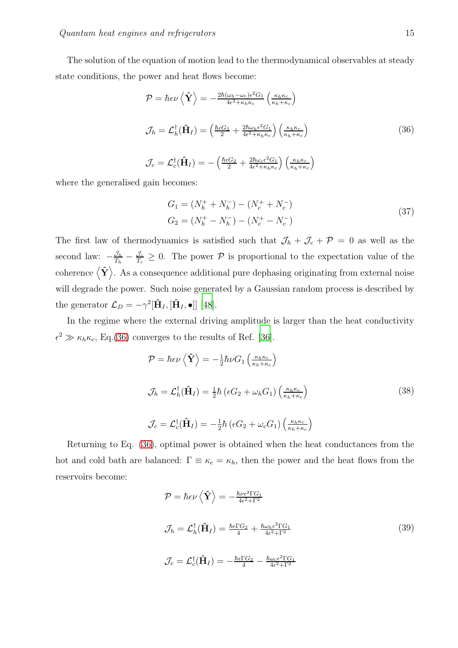The solution of the equation of motion lead to the thermodynamical observables at steady state conditions, the power and heat flows become:

<span id="page-14-0"></span>
$$
\mathcal{P} = \hbar \epsilon \nu \left\langle \hat{\mathbf{Y}} \right\rangle = -\frac{2\hbar (\omega_h - \omega_c)\epsilon^2 G_1}{4\epsilon^2 + \kappa_h \kappa_c} \left( \frac{\kappa_h \kappa_c}{\kappa_h + \kappa_c} \right)
$$
\n
$$
\mathcal{J}_h = \mathcal{L}_h^{\dagger}(\hat{\mathbf{H}}_I) = \left( \frac{\hbar \epsilon G_2}{2} + \frac{2\hbar \omega_h \epsilon^2 G_1}{4\epsilon^2 + \kappa_h \kappa_c} \right) \left( \frac{\kappa_h \kappa_c}{\kappa_h + \kappa_c} \right)
$$
\n
$$
\mathcal{J}_c = \mathcal{L}_c^{\dagger}(\hat{\mathbf{H}}_I) = -\left( \frac{\hbar \epsilon G_2}{2} + \frac{2\hbar \omega_c \epsilon^2 G_1}{4\epsilon^2 + \kappa_h \kappa_c} \right) \left( \frac{\kappa_h \kappa_c}{\kappa_h + \kappa_c} \right)
$$
\n(36)

where the generalised gain becomes:

<span id="page-14-2"></span>
$$
G_1 = (N_h^+ + N_h^-) - (N_c^+ + N_c^-)
$$
  
\n
$$
G_2 = (N_h^+ - N_h^-) - (N_c^+ - N_c^-)
$$
\n(37)

The first law of thermodynamics is satisfied such that  $\mathcal{J}_h + \mathcal{J}_c + \mathcal{P} = 0$  as well as the second law:  $-\frac{\mathcal{J}_h}{T_h} - \frac{\mathcal{J}_c}{T_c} \geq 0$ . The power  $\mathcal P$  is proportional to the expectation value of the coherence  $\langle \hat{\mathbf{Y}} \rangle$ . As a consequence additional pure dephasing originating from external noise will degrade the power. Such noise generated by a Gaussian random process is described by the generator  $\mathcal{L}_D = -\gamma^2 [\hat{\mathbf{H}}_I, [\hat{\mathbf{H}}_I, \bullet]]$  [\[48\]](#page-44-12).

In the regime where the external driving amplitude is larger than the heat conductivity  $\epsilon^2 \gg \kappa_h \kappa_c$ , Eq.[\(36\)](#page-14-0) converges to the results of Ref. [\[36\]](#page-44-1).

$$
\mathcal{P} = \hbar \epsilon \nu \left\langle \hat{\mathbf{Y}} \right\rangle = -\frac{1}{2} \hbar \nu G_1 \left( \frac{\kappa_h \kappa_c}{\kappa_h + \kappa_c} \right)
$$
  

$$
\mathcal{J}_h = \mathcal{L}_h^{\dagger} (\hat{\mathbf{H}}_I) = \frac{1}{2} \hbar \left( \epsilon G_2 + \omega_h G_1 \right) \left( \frac{\kappa_h \kappa_c}{\kappa_h + \kappa_c} \right)
$$
(38)  

$$
\mathcal{J}_c = \mathcal{L}_c^{\dagger} (\hat{\mathbf{H}}_I) = -\frac{1}{2} \hbar \left( \epsilon G_2 + \omega_c G_1 \right) \left( \frac{\kappa_h \kappa_c}{\kappa_h + \kappa_c} \right)
$$

Returning to Eq. [\(36\)](#page-14-0), optimal power is obtained when the heat conductances from the hot and cold bath are balanced:  $\Gamma \equiv \kappa_c = \kappa_h$ , then the power and the heat flows from the reservoirs become:

<span id="page-14-1"></span>
$$
\mathcal{P} = \hbar \epsilon \nu \left\langle \hat{\mathbf{Y}} \right\rangle = -\frac{\hbar \nu \epsilon^2 \Gamma G_1}{4\epsilon^2 + \Gamma^2}
$$
\n
$$
\mathcal{J}_h = \mathcal{L}_h^{\dagger}(\hat{\mathbf{H}}_I) = \frac{\hbar \epsilon \Gamma G_2}{4} + \frac{\hbar \omega_h \epsilon^2 \Gamma G_1}{4\epsilon^2 + \Gamma^2}
$$
\n
$$
\mathcal{J}_c = \mathcal{L}_c^{\dagger}(\hat{\mathbf{H}}_I) = -\frac{\hbar \epsilon \Gamma G_2}{4} - \frac{\hbar \omega_c \epsilon^2 \Gamma G_1}{4\epsilon^2 + \Gamma^2}
$$
\n(39)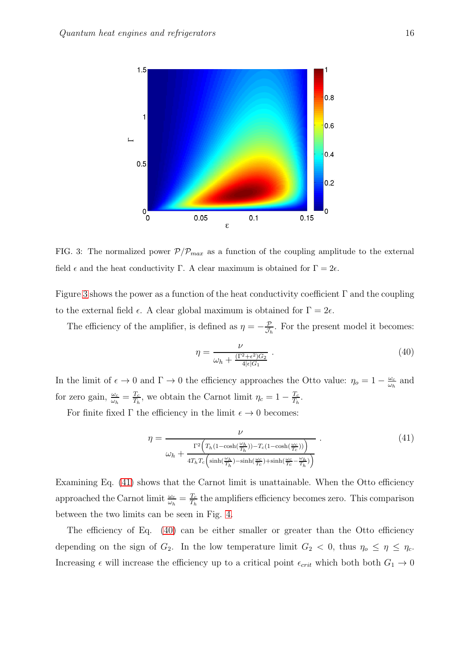

<span id="page-15-0"></span>FIG. 3: The normalized power  $P/P_{max}$  as a function of the coupling amplitude to the external field  $\epsilon$  and the heat conductivity Γ. A clear maximum is obtained for  $\Gamma = 2\epsilon$ .

Figure [3](#page-15-0) shows the power as a function of the heat conductivity coefficient  $\Gamma$  and the coupling to the external field  $\epsilon$ . A clear global maximum is obtained for  $\Gamma = 2\epsilon$ .

The efficiency of the amplifier, is defined as  $\eta = -\frac{p}{\mathcal{J}_l}$  $\frac{\mathcal{P}}{\mathcal{J}_h}$ . For the present model it becomes:

<span id="page-15-2"></span>
$$
\eta = \frac{\nu}{\omega_h + \frac{(\Gamma^2 + \epsilon^2)G_2}{4|\epsilon|G_1}} \,. \tag{40}
$$

In the limit of  $\epsilon \to 0$  and  $\Gamma \to 0$  the efficiency approaches the Otto value:  $\eta_o = 1 - \frac{\omega_c}{\omega_h}$  $\frac{\omega_c}{\omega_h}$  and for zero gain,  $\frac{\omega_c}{\omega_h} = \frac{T_c}{T_h}$  $\frac{T_c}{T_h}$ , we obtain the Carnot limit  $\eta_c = 1 - \frac{T_c}{T_h}$  $\frac{T_c}{T_h}$ .

For finite fixed  $\Gamma$  the efficiency in the limit  $\epsilon \to 0$  becomes:

<span id="page-15-1"></span>
$$
\eta = \frac{\nu}{\omega_h + \frac{\Gamma^2 \left( T_h (1 - \cosh(\frac{\omega_h}{T_h})) - T_c (1 - \cosh(\frac{\omega_c}{T_c})) \right)}{4T_h T_c \left( \sinh(\frac{\omega_h}{T_h}) - \sinh(\frac{\omega_c}{T_c}) + \sinh(\frac{\omega_c}{T_c} - \frac{\omega_h}{T_h}) \right)}}
$$
(41)

Examining Eq. [\(41\)](#page-15-1) shows that the Carnot limit is unattainable. When the Otto efficiency approached the Carnot limit  $\frac{\omega_c}{\omega_h} = \frac{T_c}{T_h}$  $\frac{T_c}{T_h}$  the amplifiers efficiency becomes zero. This comparison between the two limits can be seen in Fig. [4.](#page-16-1)

The efficiency of Eq. [\(40\)](#page-15-2) can be either smaller or greater than the Otto efficiency depending on the sign of  $G_2$ . In the low temperature limit  $G_2 < 0$ , thus  $\eta_o \leq \eta \leq \eta_c$ . Increasing  $\epsilon$  will increase the efficiency up to a critical point  $\epsilon_{crit}$  which both both  $G_1 \rightarrow 0$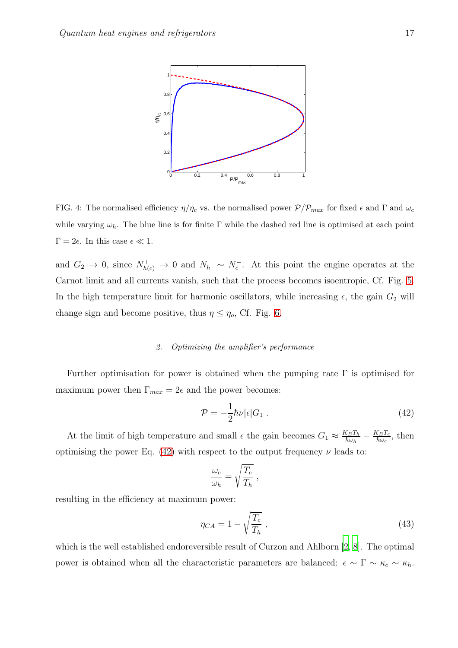

<span id="page-16-1"></span>FIG. 4: The normalised efficiency  $\eta/\eta_c$  vs. the normalised power  $\mathcal{P}/\mathcal{P}_{max}$  for fixed  $\epsilon$  and  $\Gamma$  and  $\omega_c$ while varying  $\omega_h$ . The blue line is for finite Γ while the dashed red line is optimised at each point  $\Gamma = 2\epsilon$ . In this case  $\epsilon \ll 1$ .

and  $G_2 \to 0$ , since  $N_{h(c)}^+ \to 0$  and  $N_h^- \sim N_c^-$ . At this point the engine operates at the Carnot limit and all currents vanish, such that the process becomes isoentropic, Cf. Fig. [5.](#page-17-1) In the high temperature limit for harmonic oscillators, while increasing  $\epsilon$ , the gain  $G_2$  will change sign and become positive, thus  $\eta \leq \eta_o$ , Cf. Fig. [6.](#page-18-0)

#### <span id="page-16-0"></span>*2. Optimizing the amplifier's performance*

Further optimisation for power is obtained when the pumping rate  $\Gamma$  is optimised for maximum power then  $\Gamma_{max} = 2\epsilon$  and the power becomes:

<span id="page-16-2"></span>
$$
\mathcal{P} = -\frac{1}{2}\hbar\nu|\epsilon|G_1.
$$
\n(42)

At the limit of high temperature and small  $\epsilon$  the gain becomes  $G_1 \approx \frac{K_B T_h}{\hbar \omega_h}$  $\frac{\zeta_B T_h}{\hbar \omega_h} - \frac{K_B T_c}{\hbar \omega_c}$  $\frac{\delta_B T_c}{\hbar \omega_c}$ , then optimising the power Eq. [\(42\)](#page-16-2) with respect to the output frequency  $\nu$  leads to:

$$
\frac{\omega_c}{\omega_h} = \sqrt{\frac{T_c}{T_h}} \ ,
$$

resulting in the efficiency at maximum power:

$$
\eta_{CA} = 1 - \sqrt{\frac{T_c}{T_h}}\,,\tag{43}
$$

which is the well established endoreversible result of Curzon and Ahlborn [\[2,](#page-42-2) [8\]](#page-42-8). The optimal power is obtained when all the characteristic parameters are balanced:  $\epsilon \sim \Gamma \sim \kappa_c \sim \kappa_h$ .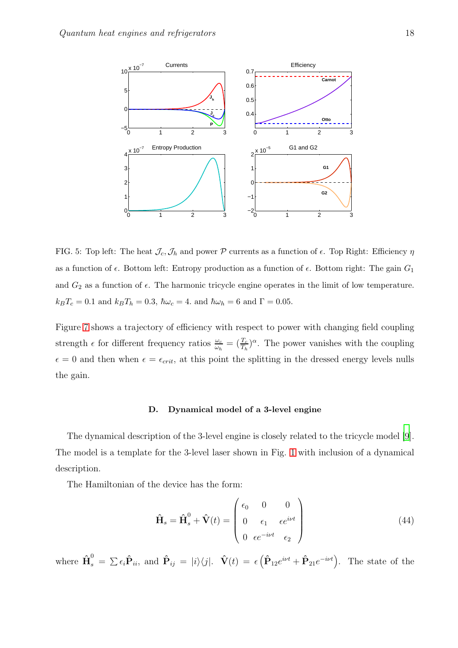

<span id="page-17-1"></span>FIG. 5: Top left: The heat  $\mathcal{J}_c$ ,  $\mathcal{J}_h$  and power P currents as a function of  $\epsilon$ . Top Right: Efficiency  $\eta$ as a function of  $\epsilon$ . Bottom left: Entropy production as a function of  $\epsilon$ . Bottom right: The gain  $G_1$ and  $G_2$  as a function of  $\epsilon$ . The harmonic tricycle engine operates in the limit of low temperature.  $k_BT_c=0.1$  and  $k_BT_h=0.3,$   $\hbar\omega_c=4$ . and  $\hbar\omega_h=6$  and  $\Gamma=0.05$ .

Figure [7](#page-19-0) shows a trajectory of efficiency with respect to power with changing field coupling strength  $\epsilon$  for different frequency ratios  $\frac{\omega_c}{\omega_h} = (\frac{T_c}{T_h})^{\alpha}$ . The power vanishes with the coupling  $\epsilon = 0$  and then when  $\epsilon = \epsilon_{crit}$ , at this point the splitting in the dressed energy levels nulls the gain.

#### <span id="page-17-0"></span>D. Dynamical model of a 3-level engine

The dynamical description of the 3-level engine is closely related to the tricycle model [\[9\]](#page-42-9). The model is a template for the 3-level laser shown in Fig. [1](#page-5-1) with inclusion of a dynamical description.

The Hamiltonian of the device has the form:

$$
\hat{\mathbf{H}}_s = \hat{\mathbf{H}}_s^0 + \hat{\mathbf{V}}(t) = \begin{pmatrix} \epsilon_0 & 0 & 0 \\ 0 & \epsilon_1 & \epsilon e^{i\nu t} \\ 0 & \epsilon e^{-i\nu t} & \epsilon_2 \end{pmatrix}
$$
(44)

where  $\mathbf{\hat{H}}_s^0 = \sum \epsilon_i \mathbf{\hat{P}}_{ii}$ , and  $\mathbf{\hat{P}}_{ij} = |i\rangle\langle j|$ .  $\mathbf{\hat{V}}(t) = \epsilon \left( \mathbf{\hat{P}}_{12} e^{i\nu t} + \mathbf{\hat{P}}_{21} e^{-i\nu t} \right)$ . The state of the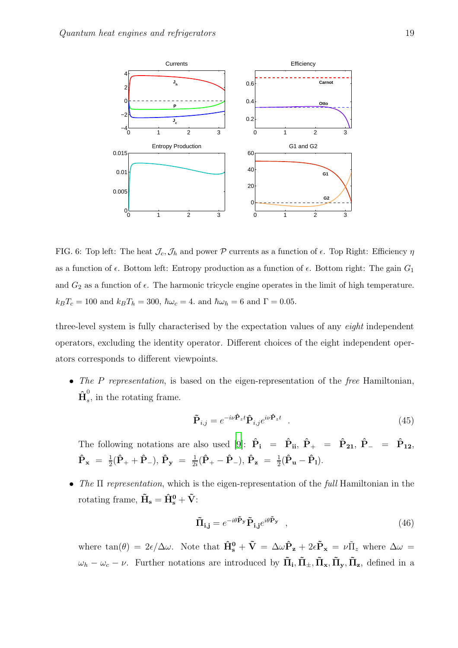

<span id="page-18-0"></span>FIG. 6: Top left: The heat  $\mathcal{J}_c$ ,  $\mathcal{J}_h$  and power P currents as a function of  $\epsilon$ . Top Right: Efficiency  $\eta$ as a function of  $\epsilon$ . Bottom left: Entropy production as a function of  $\epsilon$ . Bottom right: The gain  $G_1$ and  $G_2$  as a function of  $\epsilon$ . The harmonic tricycle engine operates in the limit of high temperature.  $k_BT_c = 100$  and  $k_BT_h = 300$ ,  $\hbar\omega_c = 4$ . and  $\hbar\omega_h = 6$  and  $\Gamma = 0.05$ .

three-level system is fully characterised by the expectation values of any eight independent operators, excluding the identity operator. Different choices of the eight independent operators corresponds to different viewpoints.

• The P representation, is based on the eigen-representation of the free Hamiltonian,  $\mathbf{\hat{H}}_s^0$  $\int_{s}$ , in the rotating frame.

$$
\tilde{\mathbf{P}}_{i,j} = e^{-i\nu \hat{\mathbf{P}}_z t} \hat{\mathbf{P}}_{i,j} e^{i\nu \hat{\mathbf{P}}_z t} \quad . \tag{45}
$$

The following notations are also used [\[9](#page-42-9)]:  $\hat{P}_i$  =  $\hat{P}_{ii}$ ,  $\hat{P}_+$  =  $\hat{P}_{21}$ ,  $\hat{P}_-$  =  $\hat{P}_{12}$ ,  $\mathbf{\hat{P}_x}$  =  $\frac{1}{2}$  $\frac{1}{2}(\hat{\mathbf{P}}_{+}+\hat{\mathbf{P}}_{-}), \, \hat{\mathbf{P}}_{\mathbf{y}} = \frac{1}{2i}$  $\frac{1}{2i}(\mathbf{\hat{P}_{+}} - \mathbf{\hat{P}_{-}}), \, \mathbf{\hat{P}_{z}} = \frac{1}{2}$  $\frac{1}{2}(\mathbf{\hat{P}_u}-\mathbf{\hat{P}_l}).$ 

• The  $\Pi$  representation, which is the eigen-representation of the full Hamiltonian in the rotating frame,  $\tilde{\mathbf{H}}_{\mathbf{s}} = \hat{\mathbf{H}}_{\mathbf{s}}^{\mathbf{0}} + \tilde{\mathbf{V}}$ :

$$
\tilde{\mathbf{\Pi}}_{\mathbf{i}, \mathbf{j}} = e^{-i\theta \tilde{\mathbf{P}}_{\mathbf{y}}} \tilde{\mathbf{P}}_{\mathbf{i}, \mathbf{j}} e^{i\theta \tilde{\mathbf{P}}_{\mathbf{y}}} \quad , \tag{46}
$$

where  $\tan(\theta) = 2\epsilon/\Delta\omega$ . Note that  $\hat{H}_{s}^{0} + \tilde{V} = \Delta\omega\hat{P}_{z} + 2\epsilon\tilde{P}_{x} = \nu\tilde{\Pi}_{z}$  where  $\Delta\omega =$  $\omega_h - \omega_c - \nu$ . Further notations are introduced by  $\tilde{\Pi}_i$ ,  $\tilde{\Pi}_\pm$ ,  $\tilde{\Pi}_\mathbf{x}$ ,  $\tilde{\Pi}_\mathbf{y}$ ,  $\tilde{\Pi}_\mathbf{z}$ , defined in a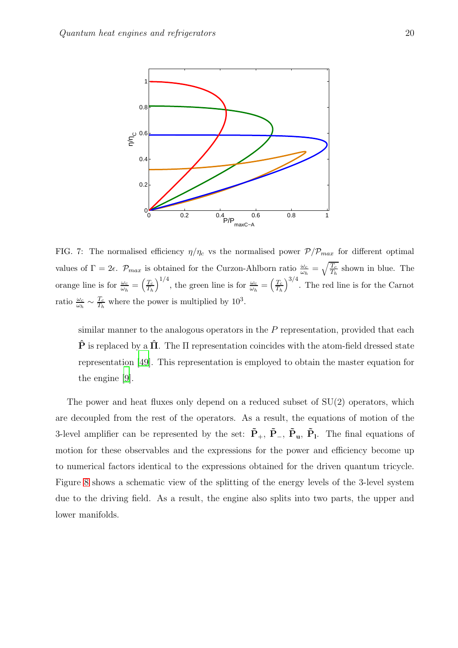

<span id="page-19-0"></span>FIG. 7: The normalised efficiency  $\eta/\eta_c$  vs the normalised power  $P/P_{max}$  for different optimal values of  $\Gamma = 2\epsilon$ .  $\mathcal{P}_{max}$  is obtained for the Curzon-Ahlborn ratio  $\frac{\omega_c}{\omega_h} = \sqrt{\frac{T_c}{T_h}}$  shown in blue. The orange line is for  $\frac{\omega_c}{\omega_h} = \left(\frac{T_c}{T_h}\right)$  $T_h$  $\int_{0}^{1/4}$ , the green line is for  $\frac{\omega_c}{\omega_h} = \left(\frac{T_c}{T_h}\right)$  $T_{h}$  $\int^{3/4}$ . The red line is for the Carnot ratio  $\frac{\omega_c}{\omega_h} \sim \frac{T_c}{T_h}$  $\frac{T_c}{T_h}$  where the power is multiplied by  $10^3$ .

similar manner to the analogous operators in the  $P$  representation, provided that each  $\hat{P}$  is replaced by a  $\Pi$ . The  $\Pi$  representation coincides with the atom-field dressed state representation [\[49\]](#page-45-0). This representation is employed to obtain the master equation for the engine [\[9\]](#page-42-9).

The power and heat fluxes only depend on a reduced subset of SU(2) operators, which are decoupled from the rest of the operators. As a result, the equations of motion of the 3-level amplifier can be represented by the set:  $\tilde{P}_+$ ,  $\tilde{P}_-$ ,  $\tilde{P}_u$ ,  $\tilde{P}_l$ . The final equations of motion for these observables and the expressions for the power and efficiency become up to numerical factors identical to the expressions obtained for the driven quantum tricycle. Figure [8](#page-20-1) shows a schematic view of the splitting of the energy levels of the 3-level system due to the driving field. As a result, the engine also splits into two parts, the upper and lower manifolds.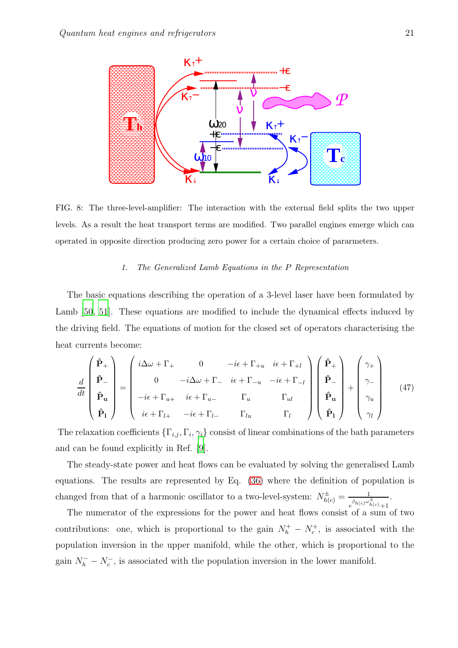

<span id="page-20-1"></span>FIG. 8: The three-level-amplifier: The interaction with the external field splits the two upper levels. As a result the heat transport terms are modified. Two parallel engines emerge which can operated in opposite direction producing zero power for a certain choice of pararmeters.

## <span id="page-20-0"></span>*1. The Generalized Lamb Equations in the* P *Representation*

The basic equations describing the operation of a 3-level laser have been formulated by Lamb [\[50,](#page-45-1) [51](#page-45-2)]. These equations are modified to include the dynamical effects induced by the driving field. The equations of motion for the closed set of operators characterising the heat currents become:

$$
\frac{d}{dt} \begin{pmatrix} \hat{\mathbf{P}}_{+} \\ \hat{\mathbf{P}}_{-} \\ \hat{\mathbf{P}}_{\mathbf{u}} \\ \hat{\mathbf{P}}_{\mathbf{1}} \end{pmatrix} = \begin{pmatrix} i\Delta\omega + \Gamma_{+} & 0 & -i\epsilon + \Gamma_{+u} & i\epsilon + \Gamma_{+l} \\ 0 & -i\Delta\omega + \Gamma_{-} & i\epsilon + \Gamma_{-u} & -i\epsilon + \Gamma_{-l} \\ -i\epsilon + \Gamma_{u+} & i\epsilon + \Gamma_{u-} & \Gamma_{u} & \Gamma_{u} \\ i\epsilon + \Gamma_{l+} & -i\epsilon + \Gamma_{l-} & \Gamma_{lu} & \Gamma_{l} \end{pmatrix} \begin{pmatrix} \hat{\mathbf{P}}_{+} \\ \hat{\mathbf{P}}_{-} \\ \hat{\mathbf{P}}_{\mathbf{u}} \\ \hat{\mathbf{P}}_{\mathbf{u}} \end{pmatrix} + \begin{pmatrix} \gamma_{+} \\ \gamma_{-} \\ \gamma_{u} \\ \gamma_{u} \\ \gamma_{l} \end{pmatrix}
$$
(47)

The relaxation coefficients  $\{\Gamma_{i,j}, \Gamma_i, \gamma_i\}$  consist of linear combinations of the bath parameters and can be found explicitly in Ref. [\[9](#page-42-9)].

The steady-state power and heat flows can be evaluated by solving the generalised Lamb equations. The results are represented by Eq. [\(36\)](#page-14-0) where the definition of population is changed from that of a harmonic oscillator to a two-level-system:  $N^{\pm}_{h(c)} = \frac{1}{\beta_{h(c)}\omega_c^2}$  $e^{\beta h(c)\omega_{h(c)}^{\pm}+1}$ .

The numerator of the expressions for the power and heat flows consist of a sum of two contributions: one, which is proportional to the gain  $N_h^+ - N_c^+$ , is associated with the population inversion in the upper manifold, while the other, which is proportional to the gain  $N_h^- - N_c^-$ , is associated with the population inversion in the lower manifold.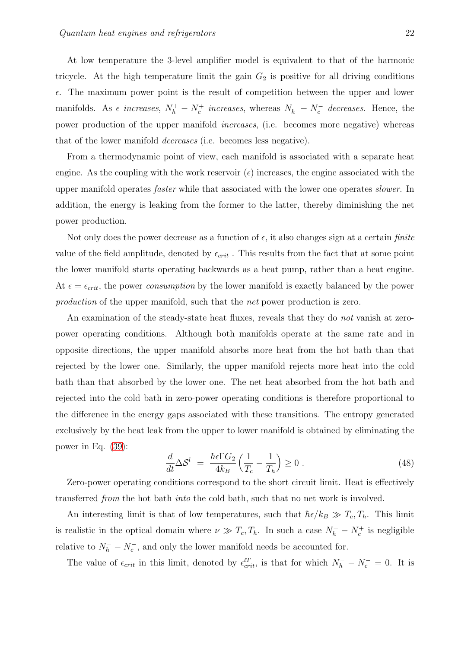At low temperature the 3-level amplifier model is equivalent to that of the harmonic tricycle. At the high temperature limit the gain  $G_2$  is positive for all driving conditions  $\epsilon$ . The maximum power point is the result of competition between the upper and lower manifolds. As  $\epsilon$  increases,  $N_h^+ - N_c^+$  increases, whereas  $N_h^- - N_c^-$  decreases. Hence, the power production of the upper manifold increases, (i.e. becomes more negative) whereas that of the lower manifold decreases (i.e. becomes less negative).

From a thermodynamic point of view, each manifold is associated with a separate heat engine. As the coupling with the work reservoir  $(\epsilon)$  increases, the engine associated with the upper manifold operates faster while that associated with the lower one operates slower. In addition, the energy is leaking from the former to the latter, thereby diminishing the net power production.

Not only does the power decrease as a function of  $\epsilon$ , it also changes sign at a certain *finite* value of the field amplitude, denoted by  $\epsilon_{crit}$ . This results from the fact that at some point the lower manifold starts operating backwards as a heat pump, rather than a heat engine. At  $\epsilon = \epsilon_{crit}$ , the power *consumption* by the lower manifold is exactly balanced by the power production of the upper manifold, such that the net power production is zero.

An examination of the steady-state heat fluxes, reveals that they do *not* vanish at zeropower operating conditions. Although both manifolds operate at the same rate and in opposite directions, the upper manifold absorbs more heat from the hot bath than that rejected by the lower one. Similarly, the upper manifold rejects more heat into the cold bath than that absorbed by the lower one. The net heat absorbed from the hot bath and rejected into the cold bath in zero-power operating conditions is therefore proportional to the difference in the energy gaps associated with these transitions. The entropy generated exclusively by the heat leak from the upper to lower manifold is obtained by eliminating the power in Eq. [\(39\)](#page-14-1):

$$
\frac{d}{dt}\Delta \mathcal{S}^l = \frac{\hbar \epsilon \Gamma G_2}{4k_B} \left( \frac{1}{T_c} - \frac{1}{T_h} \right) \ge 0 \; . \tag{48}
$$

Zero-power operating conditions correspond to the short circuit limit. Heat is effectively transferred from the hot bath into the cold bath, such that no net work is involved.

An interesting limit is that of low temperatures, such that  $\hbar \epsilon / k_B \gg T_c, T_h$ . This limit is realistic in the optical domain where  $\nu \gg T_c, T_h$ . In such a case  $N_h^+ - N_c^+$  is negligible relative to  $N_h^- - N_c^-$ , and only the lower manifold needs be accounted for.

The value of  $\epsilon_{crit}$  in this limit, denoted by  $\epsilon_{crit}^{lT}$ , is that for which  $N_h^- - N_c^- = 0$ . It is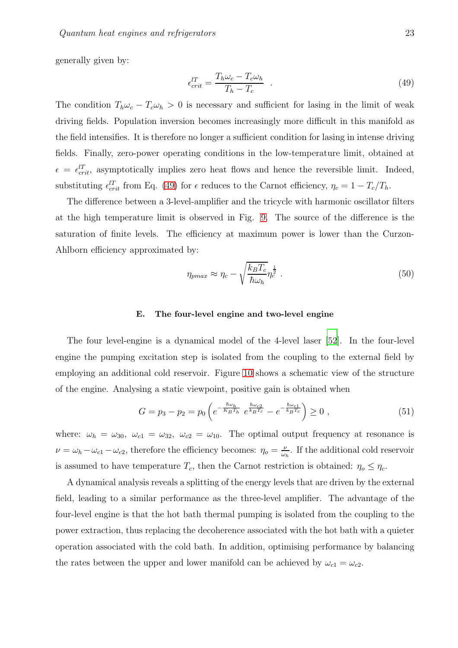generally given by:

<span id="page-22-1"></span>
$$
\epsilon_{crit}^{l} = \frac{T_h \omega_c - T_c \omega_h}{T_h - T_c} \quad . \tag{49}
$$

The condition  $T_h \omega_c - T_c \omega_h > 0$  is necessary and sufficient for lasing in the limit of weak driving fields. Population inversion becomes increasingly more difficult in this manifold as the field intensifies. It is therefore no longer a sufficient condition for lasing in intense driving fields. Finally, zero-power operating conditions in the low-temperature limit, obtained at  $\epsilon = \epsilon_{crit}^{lT}$ , asymptotically implies zero heat flows and hence the reversible limit. Indeed, substituting  $\epsilon_{crit}^{lT}$  from Eq. [\(49\)](#page-22-1) for  $\epsilon$  reduces to the Carnot efficiency,  $\eta_c = 1 - T_c/T_h$ .

The difference between a 3-level-amplifier and the tricycle with harmonic oscillator filters at the high temperature limit is observed in Fig. [9.](#page-23-0) The source of the difference is the saturation of finite levels. The efficiency at maximum power is lower than the Curzon-Ahlborn efficiency approximated by:

$$
\eta_{pmax} \approx \eta_c - \sqrt{\frac{k_B T_c}{\hbar \omega_h}} \eta_c^{\frac{1}{2}} \ . \tag{50}
$$

#### <span id="page-22-0"></span>E. The four-level engine and two-level engine

The four level-engine is a dynamical model of the 4-level laser [\[52\]](#page-45-3). In the four-level engine the pumping excitation step is isolated from the coupling to the external field by employing an additional cold reservoir. Figure [10](#page-24-1) shows a schematic view of the structure of the engine. Analysing a static viewpoint, positive gain is obtained when

$$
G = p_3 - p_2 = p_0 \left( e^{-\frac{\hbar \omega_h}{K_B T_h}} e^{\frac{\hbar \omega_{c2}}{k_B T_c}} - e^{-\frac{\hbar \omega_{c1}}{k_B T_c}} \right) \ge 0 , \qquad (51)
$$

where:  $\omega_h = \omega_{30}$ ,  $\omega_{c1} = \omega_{32}$ ,  $\omega_{c2} = \omega_{10}$ . The optimal output frequency at resonance is  $\nu = \omega_h - \omega_{c1} - \omega_{c2}$ , therefore the efficiency becomes:  $\eta_o = \frac{\nu}{\omega_l}$  $\frac{\nu}{\omega_h}$ . If the additional cold reservoir is assumed to have temperature  $T_c$ , then the Carnot restriction is obtained:  $\eta_o \leq \eta_c$ .

A dynamical analysis reveals a splitting of the energy levels that are driven by the external field, leading to a similar performance as the three-level amplifier. The advantage of the four-level engine is that the hot bath thermal pumping is isolated from the coupling to the power extraction, thus replacing the decoherence associated with the hot bath with a quieter operation associated with the cold bath. In addition, optimising performance by balancing the rates between the upper and lower manifold can be achieved by  $\omega_{c1} = \omega_{c2}$ .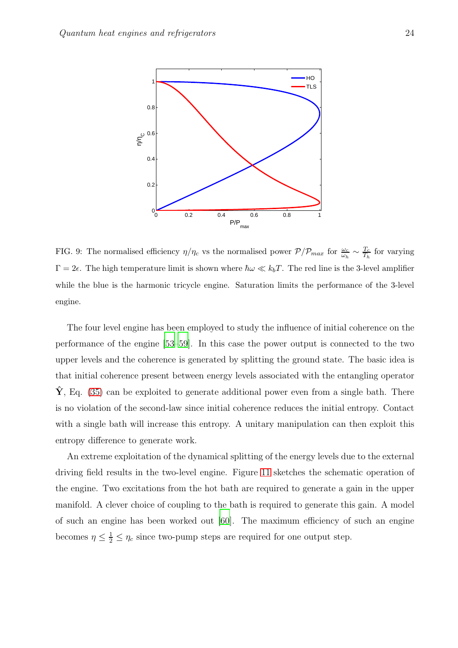

<span id="page-23-0"></span>FIG. 9: The normalised efficiency  $\eta/\eta_c$  vs the normalised power  $P/P_{max}$  for  $\frac{\omega_c}{\omega_h} \sim \frac{T_c}{T_h}$  $\frac{T_c}{T_h}$  for varying  $\Gamma = 2\epsilon$ . The high temperature limit is shown where  $\hbar \omega \ll k_b T$ . The red line is the 3-level amplifier while the blue is the harmonic tricycle engine. Saturation limits the performance of the 3-level engine.

The four level engine has been employed to study the influence of initial coherence on the performance of the engine [\[53](#page-45-4)[–59](#page-45-5)]. In this case the power output is connected to the two upper levels and the coherence is generated by splitting the ground state. The basic idea is that initial coherence present between energy levels associated with the entangling operator  $\mathbf{Y}$ , Eq. [\(35\)](#page-13-0) can be exploited to generate additional power even from a single bath. There is no violation of the second-law since initial coherence reduces the initial entropy. Contact with a single bath will increase this entropy. A unitary manipulation can then exploit this entropy difference to generate work.

An extreme exploitation of the dynamical splitting of the energy levels due to the external driving field results in the two-level engine. Figure [11](#page-24-2) sketches the schematic operation of the engine. Two excitations from the hot bath are required to generate a gain in the upper manifold. A clever choice of coupling to the bath is required to generate this gain. A model of such an engine has been worked out [\[60](#page-45-6)]. The maximum efficiency of such an engine becomes  $\eta \leq \frac{1}{2} \leq \eta_c$  since two-pump steps are required for one output step.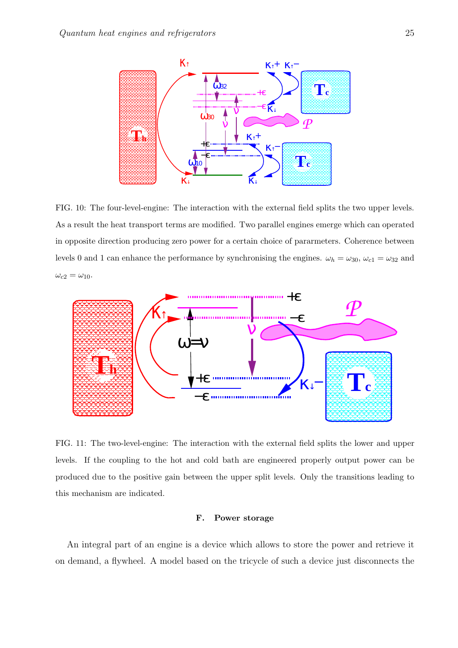

<span id="page-24-1"></span>FIG. 10: The four-level-engine: The interaction with the external field splits the two upper levels. As a result the heat transport terms are modified. Two parallel engines emerge which can operated in opposite direction producing zero power for a certain choice of pararmeters. Coherence between levels 0 and 1 can enhance the performance by synchronising the engines.  $\omega_h = \omega_{30}$ ,  $\omega_{c1} = \omega_{32}$  and  $\omega_{c2}=\omega_{10}.$ 



<span id="page-24-2"></span>FIG. 11: The two-level-engine: The interaction with the external field splits the lower and upper levels. If the coupling to the hot and cold bath are engineered properly output power can be produced due to the positive gain between the upper split levels. Only the transitions leading to this mechanism are indicated.

## <span id="page-24-0"></span>F. Power storage

An integral part of an engine is a device which allows to store the power and retrieve it on demand, a flywheel. A model based on the tricycle of such a device just disconnects the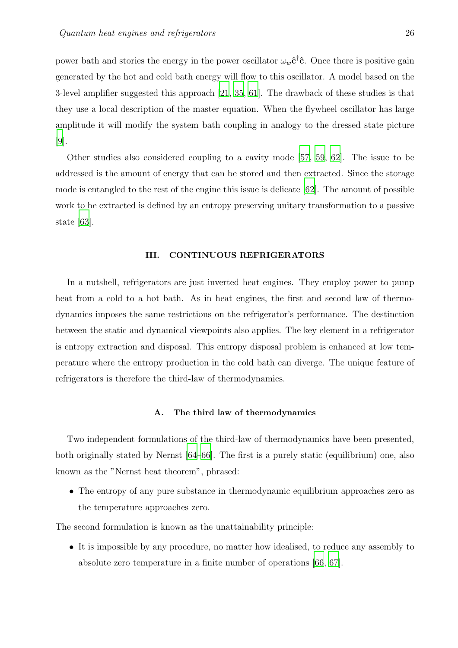power bath and stories the energy in the power oscillator  $\omega_w \hat{\mathbf{c}}^{\dagger} \hat{\mathbf{c}}$ . Once there is positive gain generated by the hot and cold bath energy will flow to this oscillator. A model based on the 3-level amplifier suggested this approach [\[21,](#page-43-2) [35](#page-44-0), [61](#page-45-7)]. The drawback of these studies is that they use a local description of the master equation. When the flywheel oscillator has large amplitude it will modify the system bath coupling in analogy to the dressed state picture [\[9](#page-42-9)].

Other studies also considered coupling to a cavity mode [\[57](#page-45-8), [59,](#page-45-5) [62\]](#page-45-9). The issue to be addressed is the amount of energy that can be stored and then extracted. Since the storage mode is entangled to the rest of the engine this issue is delicate [\[62](#page-45-9)]. The amount of possible work to be extracted is defined by an entropy preserving unitary transformation to a passive state [\[63\]](#page-45-10).

#### <span id="page-25-0"></span>III. CONTINUOUS REFRIGERATORS

In a nutshell, refrigerators are just inverted heat engines. They employ power to pump heat from a cold to a hot bath. As in heat engines, the first and second law of thermodynamics imposes the same restrictions on the refrigerator's performance. The destinction between the static and dynamical viewpoints also applies. The key element in a refrigerator is entropy extraction and disposal. This entropy disposal problem is enhanced at low temperature where the entropy production in the cold bath can diverge. The unique feature of refrigerators is therefore the third-law of thermodynamics.

#### <span id="page-25-1"></span>A. The third law of thermodynamics

Two independent formulations of the third-law of thermodynamics have been presented, both originally stated by Nernst [\[64](#page-45-11)[–66](#page-46-0)]. The first is a purely static (equilibrium) one, also known as the "Nernst heat theorem", phrased:

• The entropy of any pure substance in thermodynamic equilibrium approaches zero as the temperature approaches zero.

The second formulation is known as the unattainability principle:

• It is impossible by any procedure, no matter how idealised, to reduce any assembly to absolute zero temperature in a finite number of operations [\[66,](#page-46-0) [67\]](#page-46-1).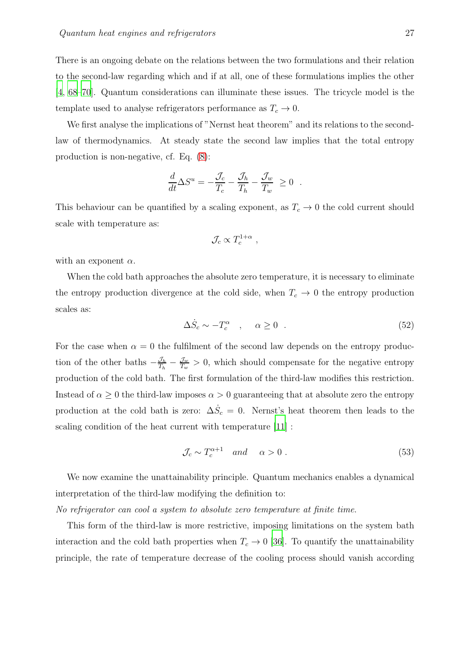There is an ongoing debate on the relations between the two formulations and their relation to the second-law regarding which and if at all, one of these formulations implies the other [\[4](#page-42-4), [68](#page-46-2)[–70](#page-46-3)]. Quantum considerations can illuminate these issues. The tricycle model is the template used to analyse refrigerators performance as  $T_c \to 0$ .

We first analyse the implications of "Nernst heat theorem" and its relations to the secondlaw of thermodynamics. At steady state the second law implies that the total entropy production is non-negative, cf. Eq. [\(8\)](#page-7-0):

$$
\frac{d}{dt}\Delta S^u = -\frac{\mathcal{J}_c}{T_c} - \frac{\mathcal{J}_h}{T_h} - \frac{\mathcal{J}_w}{T_w} \ge 0 .
$$

This behaviour can be quantified by a scaling exponent, as  $T_c \to 0$  the cold current should scale with temperature as:

$$
\mathcal{J}_c \propto T_c^{1+\alpha} \ ,
$$

with an exponent  $\alpha$ .

When the cold bath approaches the absolute zero temperature, it is necessary to eliminate the entropy production divergence at the cold side, when  $T_c \rightarrow 0$  the entropy production scales as:

$$
\Delta \dot{S}_c \sim -T_c^{\alpha} \quad , \quad \alpha \ge 0 \quad . \tag{52}
$$

For the case when  $\alpha = 0$  the fulfilment of the second law depends on the entropy production of the other baths  $-\frac{\mathcal{J}_h}{T_h} - \frac{\mathcal{J}_w}{T_w} > 0$ , which should compensate for the negative entropy production of the cold bath. The first formulation of the third-law modifies this restriction. Instead of  $\alpha \geq 0$  the third-law imposes  $\alpha > 0$  guaranteeing that at absolute zero the entropy production at the cold bath is zero:  $\Delta \dot{S}_c = 0$ . Nernst's heat theorem then leads to the scaling condition of the heat current with temperature [\[11](#page-42-10)] :

<span id="page-26-0"></span>
$$
\mathcal{J}_c \sim T_c^{\alpha+1} \quad and \quad \alpha > 0 \; . \tag{53}
$$

We now examine the unattainability principle. Quantum mechanics enables a dynamical interpretation of the third-law modifying the definition to:

No refrigerator can cool a system to absolute zero temperature at finite time.

This form of the third-law is more restrictive, imposing limitations on the system bath interaction and the cold bath properties when  $T_c \rightarrow 0$  [\[36](#page-44-1)]. To quantify the unattainability principle, the rate of temperature decrease of the cooling process should vanish according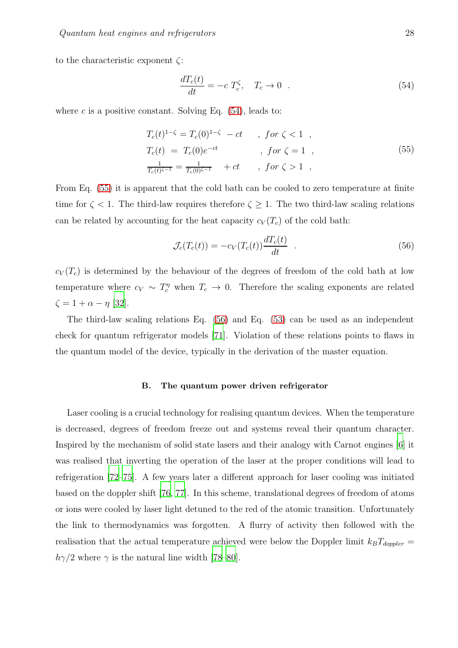to the characteristic exponent ζ:

<span id="page-27-1"></span>
$$
\frac{dT_c(t)}{dt} = -c \ T_c^{\zeta}, \quad T_c \to 0 \quad . \tag{54}
$$

where c is a positive constant. Solving Eq.  $(54)$ , leads to:

<span id="page-27-2"></span>
$$
T_c(t)^{1-\zeta} = T_c(0)^{1-\zeta} - ct \t , for \zeta < 1 ,T_c(t) = T_c(0)e^{-ct} \t , for \zeta = 1 ,\n\frac{1}{T_c(t)^{\zeta - 1}} = \frac{1}{T_c(0)^{\zeta - 1}} + ct \t , for \zeta > 1 ,
$$
\n(55)

From Eq. [\(55\)](#page-27-2) it is apparent that the cold bath can be cooled to zero temperature at finite time for  $\zeta$  < 1. The third-law requires therefore  $\zeta \geq 1$ . The two third-law scaling relations can be related by accounting for the heat capacity  $c_V(T_c)$  of the cold bath:

<span id="page-27-3"></span>
$$
\mathcal{J}_c(T_c(t)) = -c_V(T_c(t))\frac{dT_c(t)}{dt} \quad . \tag{56}
$$

 $c_V(T_c)$  is determined by the behaviour of the degrees of freedom of the cold bath at low temperature where  $c_V \sim T_c^{\eta}$  when  $T_c \to 0$ . Therefore the scaling exponents are related  $\zeta = 1 + \alpha - \eta$  [\[32](#page-43-1)].

The third-law scaling relations Eq. [\(56\)](#page-27-3) and Eq. [\(53\)](#page-26-0) can be used as an independent check for quantum refrigerator models [\[71\]](#page-46-4). Violation of these relations points to flaws in the quantum model of the device, typically in the derivation of the master equation.

#### <span id="page-27-0"></span>B. The quantum power driven refrigerator

Laser cooling is a crucial technology for realising quantum devices. When the temperature is decreased, degrees of freedom freeze out and systems reveal their quantum character. Inspired by the mechanism of solid state lasers and their analogy with Carnot engines [\[6](#page-42-6)] it was realised that inverting the operation of the laser at the proper conditions will lead to refrigeration [\[72](#page-46-5)[–75\]](#page-46-6). A few years later a different approach for laser cooling was initiated based on the doppler shift [\[76,](#page-46-7) [77\]](#page-46-8). In this scheme, translational degrees of freedom of atoms or ions were cooled by laser light detuned to the red of the atomic transition. Unfortunately the link to thermodynamics was forgotten. A flurry of activity then followed with the realisation that the actual temperature achieved were below the Doppler limit  $k_B T_{doppler} =$  $h\gamma/2$  where  $\gamma$  is the natural line width [\[78](#page-46-9)[–80](#page-46-10)].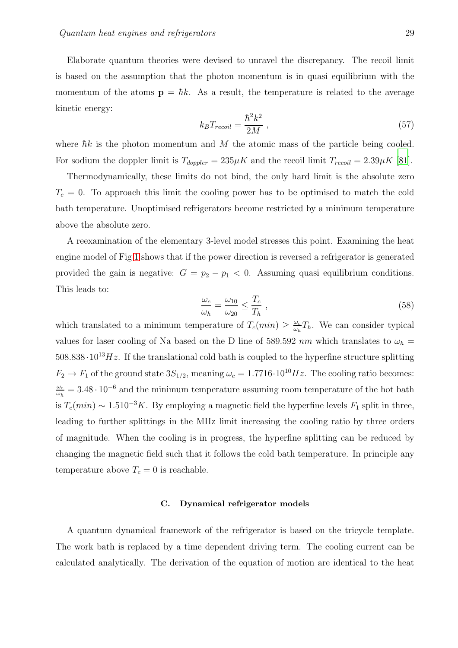Elaborate quantum theories were devised to unravel the discrepancy. The recoil limit is based on the assumption that the photon momentum is in quasi equilibrium with the momentum of the atoms  $\mathbf{p} = \hbar k$ . As a result, the temperature is related to the average kinetic energy:

$$
k_B T_{recoil} = \frac{\hbar^2 k^2}{2M} \,,\tag{57}
$$

where  $\hbar k$  is the photon momentum and M the atomic mass of the particle being cooled. For sodium the doppler limit is  $T_{doppler} = 235 \mu K$  and the recoil limit  $T_{recoil} = 2.39 \mu K$  [\[81\]](#page-46-11).

Thermodynamically, these limits do not bind, the only hard limit is the absolute zero  $T_c = 0$ . To approach this limit the cooling power has to be optimised to match the cold bath temperature. Unoptimised refrigerators become restricted by a minimum temperature above the absolute zero.

A reexamination of the elementary 3-level model stresses this point. Examining the heat engine model of Fig [1](#page-5-1) shows that if the power direction is reversed a refrigerator is generated provided the gain is negative:  $G = p_2 - p_1 < 0$ . Assuming quasi equilibrium conditions. This leads to:

$$
\frac{\omega_c}{\omega_h} = \frac{\omega_{10}}{\omega_{20}} \le \frac{T_c}{T_h} \,,\tag{58}
$$

which translated to a minimum temperature of  $T_c(min) \geq \frac{\omega_c}{\omega_h}$  $\frac{\omega_c}{\omega_h}T_h$ . We can consider typical values for laser cooling of Na based on the D line of 589.592 nm which translates to  $\omega_h$  =  $508.838 \cdot 10^{13} Hz$ . If the translational cold bath is coupled to the hyperfine structure splitting  $F_2 \to F_1$  of the ground state  $3S_{1/2}$ , meaning  $\omega_c = 1.7716 \cdot 10^{10} Hz$ . The cooling ratio becomes:  $\omega_c$  $\frac{\omega_c}{\omega_h} = 3.48 \cdot 10^{-6}$  and the minimum temperature assuming room temperature of the hot bath is  $T_c(min) \sim 1.510^{-3}K$ . By employing a magnetic field the hyperfine levels  $F_1$  split in three, leading to further splittings in the MHz limit increasing the cooling ratio by three orders of magnitude. When the cooling is in progress, the hyperfine splitting can be reduced by changing the magnetic field such that it follows the cold bath temperature. In principle any temperature above  $T_c = 0$  is reachable.

## <span id="page-28-0"></span>C. Dynamical refrigerator models

A quantum dynamical framework of the refrigerator is based on the tricycle template. The work bath is replaced by a time dependent driving term. The cooling current can be calculated analytically. The derivation of the equation of motion are identical to the heat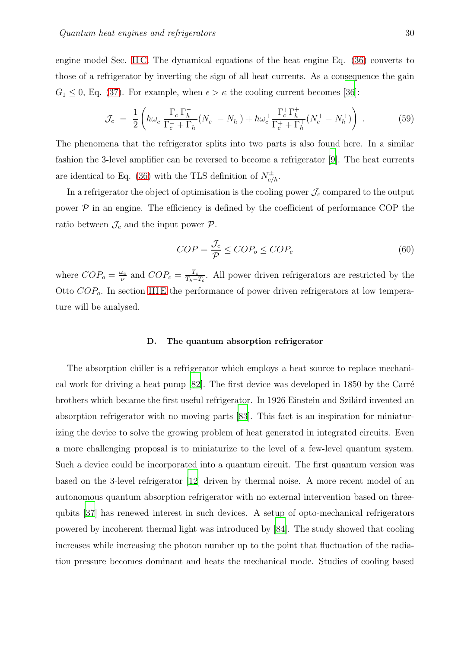engine model Sec. [II C.](#page-9-0) The dynamical equations of the heat engine Eq. [\(36\)](#page-14-0) converts to those of a refrigerator by inverting the sign of all heat currents. As a consequence the gain  $G_1 \leq 0$ , Eq. [\(37\)](#page-14-2). For example, when  $\epsilon > \kappa$  the cooling current becomes [\[36\]](#page-44-1):

$$
\mathcal{J}_c = \frac{1}{2} \left( \hbar \omega_c^- \frac{\Gamma_c^- \Gamma_h^-}{\Gamma_c^- + \Gamma_h^-} (N_c^- - N_h^-) + \hbar \omega_c^+ \frac{\Gamma_c^+ \Gamma_h^+}{\Gamma_c^+ + \Gamma_h^+} (N_c^+ - N_h^+) \right) \,. \tag{59}
$$

The phenomena that the refrigerator splits into two parts is also found here. In a similar fashion the 3-level amplifier can be reversed to become a refrigerator [\[9](#page-42-9)]. The heat currents are identical to Eq. [\(36\)](#page-14-0) with the TLS definition of  $N_{c/h}^{\pm}$ .

In a refrigerator the object of optimisation is the cooling power  $\mathcal{J}_c$  compared to the output power  $\mathcal P$  in an engine. The efficiency is defined by the coefficient of performance COP the ratio between  $\mathcal{J}_c$  and the input power  $\mathcal{P}$ .

<span id="page-29-1"></span>
$$
COP = \frac{\mathcal{J}_c}{\mathcal{P}} \le COP_o \le COP_c \tag{60}
$$

where  $COP_o = \frac{\omega_c}{\nu}$  $\frac{\omega_c}{\nu}$  and  $COP_c = \frac{T_c}{T_h - T_c}$  $\frac{T_c}{T_h-T_c}$ . All power driven refrigerators are restricted by the Otto  $COP<sub>o</sub>$ . In section [III E](#page-36-0) the performance of power driven refrigerators at low temperature will be analysed.

#### <span id="page-29-0"></span>D. The quantum absorption refrigerator

The absorption chiller is a refrigerator which employs a heat source to replace mechanical work for driving a heat pump  $[82]$ . The first device was developed in 1850 by the Carré brothers which became the first useful refrigerator. In 1926 Einstein and Szilárd invented an absorption refrigerator with no moving parts [\[83\]](#page-47-0). This fact is an inspiration for miniaturizing the device to solve the growing problem of heat generated in integrated circuits. Even a more challenging proposal is to miniaturize to the level of a few-level quantum system. Such a device could be incorporated into a quantum circuit. The first quantum version was based on the 3-level refrigerator [\[12\]](#page-42-11) driven by thermal noise. A more recent model of an autonomous quantum absorption refrigerator with no external intervention based on threequbits [\[37](#page-44-13)] has renewed interest in such devices. A setup of opto-mechanical refrigerators powered by incoherent thermal light was introduced by [\[84](#page-47-1)]. The study showed that cooling increases while increasing the photon number up to the point that fluctuation of the radiation pressure becomes dominant and heats the mechanical mode. Studies of cooling based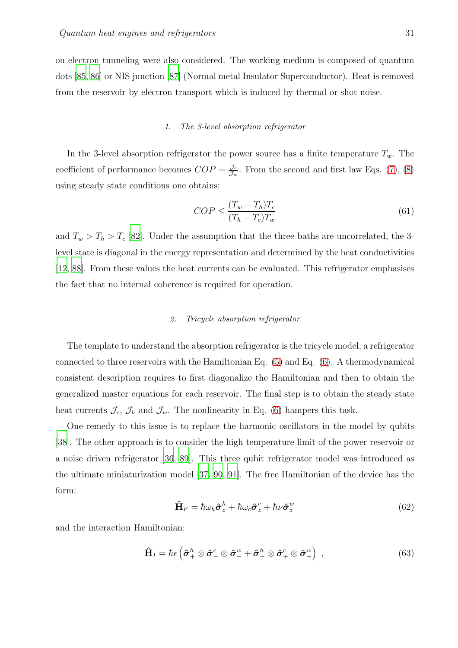on electron tunneling were also considered. The working medium is composed of quantum dots [\[85,](#page-47-2) [86\]](#page-47-3) or NIS junction [\[87\]](#page-47-4) (Normal metal Insulator Superconductor). Heat is removed from the reservoir by electron transport which is induced by thermal or shot noise.

#### <span id="page-30-0"></span>*1. The 3-level absorption refrigerator*

In the 3-level absorption refrigerator the power source has a finite temperature  $T_w$ . The coefficient of performance becomes  $COP = \frac{\mathcal{J}_c}{\mathcal{J}_c}$  $\frac{\mathcal{Y}_c}{\mathcal{J}_w}$ . From the second and first law Eqs. [\(7\)](#page-7-1), [\(8\)](#page-7-0) using steady state conditions one obtains:

$$
COP \le \frac{(T_w - T_h)T_c}{(T_h - T_c)T_w} \tag{61}
$$

and  $T_w > T_h > T_c$  [\[82\]](#page-46-12). Under the assumption that the three baths are uncorrelated, the 3level state is diagonal in the energy representation and determined by the heat conductivities [\[12](#page-42-11), [88](#page-47-5)]. From these values the heat currents can be evaluated. This refrigerator emphasises the fact that no internal coherence is required for operation.

### <span id="page-30-1"></span>*2. Tricycle absorption refrigerator*

The template to understand the absorption refrigerator is the tricycle model, a refrigerator connected to three reservoirs with the Hamiltonian Eq. [\(5\)](#page-6-2) and Eq. [\(6\)](#page-6-1). A thermodynamical consistent description requires to first diagonalize the Hamiltonian and then to obtain the generalized master equations for each reservoir. The final step is to obtain the steady state heat currents  $\mathcal{J}_c$ ,  $\mathcal{J}_h$  and  $\mathcal{J}_w$ . The nonlinearity in Eq. [\(6\)](#page-6-1) hampers this task.

One remedy to this issue is to replace the harmonic oscillators in the model by qubits [\[38](#page-44-2)]. The other approach is to consider the high temperature limit of the power reservoir or a noise driven refrigerator [\[36,](#page-44-1) [89](#page-47-6)]. This three qubit refrigerator model was introduced as the ultimate miniaturization model [\[37,](#page-44-13) [90](#page-47-7), [91\]](#page-47-8). The free Hamiltonian of the device has the form:

$$
\hat{\mathbf{H}}_F = \hbar \omega_h \hat{\boldsymbol{\sigma}}_z^h + \hbar \omega_c \hat{\boldsymbol{\sigma}}_z^c + \hbar \nu \hat{\boldsymbol{\sigma}}_z^w \tag{62}
$$

and the interaction Hamiltonian:

$$
\hat{\mathbf{H}}_I = \hbar \epsilon \left( \hat{\boldsymbol{\sigma}}_+^h \otimes \hat{\boldsymbol{\sigma}}_-^c \otimes \hat{\boldsymbol{\sigma}}_-^w + \hat{\boldsymbol{\sigma}}_-^h \otimes \hat{\boldsymbol{\sigma}}_+^c \otimes \hat{\boldsymbol{\sigma}}_+^w \right) , \qquad (63)
$$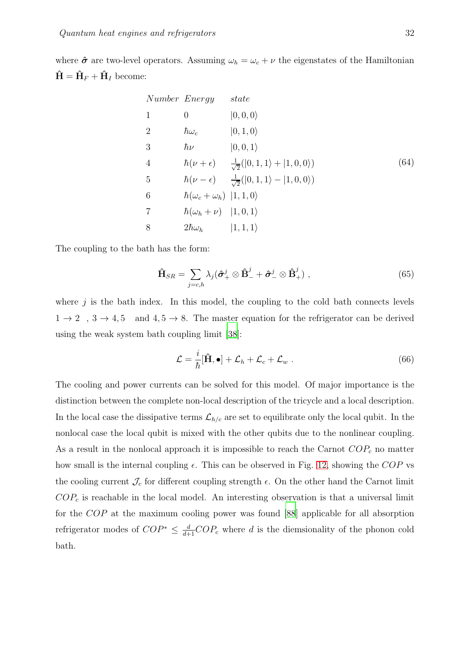where  $\hat{\sigma}$  are two-level operators. Assuming  $\omega_h = \omega_c + \nu$  the eigenstates of the Hamiltonian  $\hat{\mathbf{H}} = \hat{\mathbf{H}}_F + \hat{\mathbf{H}}_I$  become:

Number Energy state  
\n1 0 |0,0,0)  
\n2 
$$
\hbar\omega_c
$$
 |0,1,0)  
\n3  $\hbar\nu$  |0,0,1)  
\n4  $\hbar(\nu+\epsilon)$   $\frac{1}{\sqrt{2}}(|0,1,1\rangle+|1,0,0\rangle)$  (64)  
\n5  $\hbar(\nu-\epsilon)$   $\frac{1}{\sqrt{2}}(|0,1,1\rangle-|1,0,0\rangle)$   
\n6  $\hbar(\omega_c+\omega_h)$  |1,1,0)  
\n7  $\hbar(\omega_h+\nu)$  |1,0,1)  
\n8  $2\hbar\omega_h$  |1,1,1)

The coupling to the bath has the form:

$$
\hat{\mathbf{H}}_{SR} = \sum_{j=c,h} \lambda_j (\hat{\boldsymbol{\sigma}}_+^j \otimes \hat{\mathbf{B}}_-^j + \hat{\boldsymbol{\sigma}}_-^j \otimes \hat{\mathbf{B}}_+^j) ,
$$
\n(65)

where  $j$  is the bath index. In this model, the coupling to the cold bath connects levels  $1 \rightarrow 2$ ,  $3 \rightarrow 4, 5$  and  $4, 5 \rightarrow 8$ . The master equation for the refrigerator can be derived using the weak system bath coupling limit [\[38\]](#page-44-2):

$$
\mathcal{L} = \frac{i}{\hbar} [\hat{\mathbf{H}}, \bullet] + \mathcal{L}_h + \mathcal{L}_c + \mathcal{L}_w .
$$
 (66)

The cooling and power currents can be solved for this model. Of major importance is the distinction between the complete non-local description of the tricycle and a local description. In the local case the dissipative terms  $\mathcal{L}_{h/c}$  are set to equilibrate only the local qubit. In the nonlocal case the local qubit is mixed with the other qubits due to the nonlinear coupling. As a result in the nonlocal approach it is impossible to reach the Carnot  $COP_c$  no matter how small is the internal coupling  $\epsilon$ . This can be observed in Fig. [12,](#page-32-1) showing the COP vs the cooling current  $\mathcal{J}_c$  for different coupling strength  $\epsilon$ . On the other hand the Carnot limit  $COP<sub>c</sub>$  is reachable in the local model. An interesting observation is that a universal limit for the COP at the maximum cooling power was found [\[88](#page-47-5)] applicable for all absorption refrigerator modes of  $COP^* \leq \frac{d}{d+1}COP_c$  where d is the diemsionality of the phonon cold bath.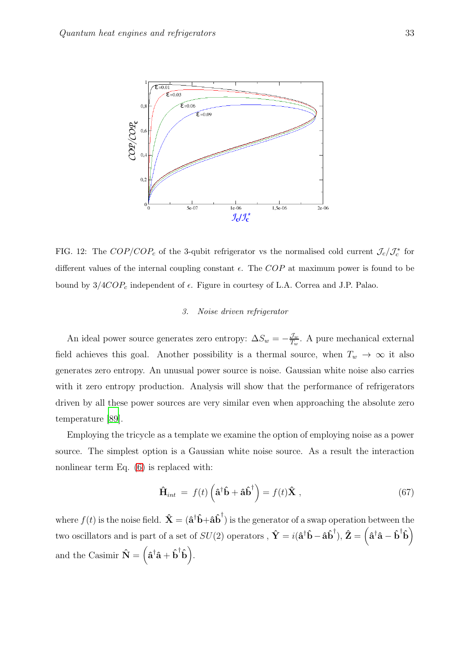

<span id="page-32-1"></span>FIG. 12: The  $COP/COP_c$  of the 3-qubit refrigerator vs the normalised cold current  $\mathcal{J}_c/\mathcal{J}_c^*$  for different values of the internal coupling constant  $\epsilon$ . The COP at maximum power is found to be bound by  $3/4COP_c$  independent of  $\epsilon$ . Figure in courtesy of L.A. Correa and J.P. Palao.

## <span id="page-32-0"></span>*3. Noise driven refrigerator*

An ideal power source generates zero entropy:  $\Delta S_w = -\frac{\mathcal{J}_w}{T_w}$ . A pure mechanical external field achieves this goal. Another possibility is a thermal source, when  $T_w \to \infty$  it also generates zero entropy. An unusual power source is noise. Gaussian white noise also carries with it zero entropy production. Analysis will show that the performance of refrigerators driven by all these power sources are very similar even when approaching the absolute zero temperature [\[89\]](#page-47-6).

Employing the tricycle as a template we examine the option of employing noise as a power source. The simplest option is a Gaussian white noise source. As a result the interaction nonlinear term Eq. [\(6\)](#page-6-1) is replaced with:

$$
\hat{\mathbf{H}}_{int} = f(t) \left( \hat{\mathbf{a}}^{\dagger} \hat{\mathbf{b}} + \hat{\mathbf{a}} \hat{\mathbf{b}}^{\dagger} \right) = f(t) \hat{\mathbf{X}} \tag{67}
$$

where  $f(t)$  is the noise field.  $\hat{\mathbf{X}} = (\hat{\mathbf{a}}^{\dagger} \hat{\mathbf{b}} + \hat{\mathbf{a}} \hat{\mathbf{b}}^{\dagger})$  is the generator of a swap operation between the two oscillators and is part of a set of  $SU(2)$  operators ,  $\hat{\mathbf{Y}} = i(\hat{\mathbf{a}}^{\dagger} \hat{\mathbf{b}} - \hat{\mathbf{a}} \hat{\mathbf{b}}^{\dagger}), \hat{\mathbf{Z}} = (\hat{\mathbf{a}}^{\dagger} \hat{\mathbf{a}} - \hat{\mathbf{b}}^{\dagger} \hat{\mathbf{b}})$ and the Casimir  $\hat{\mathbf{N}} = (\hat{\mathbf{a}}^{\dagger} \hat{\mathbf{a}} + \hat{\mathbf{b}}^{\dagger} \hat{\mathbf{b}}).$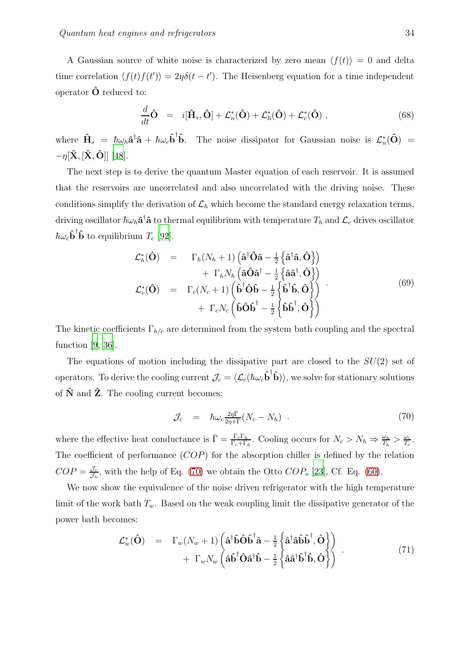A Gaussian source of white noise is characterized by zero mean  $\langle f(t) \rangle = 0$  and delta time correlation  $\langle f(t)f(t')\rangle = 2\eta\delta(t-t')$ . The Heisenberg equation for a time independent operator  $\hat{\mathbf{O}}$  reduced to:

$$
\frac{d}{dt}\hat{\mathbf{O}} = i[\hat{\mathbf{H}}_s, \hat{\mathbf{O}}] + \mathcal{L}_n^*(\hat{\mathbf{O}}) + \mathcal{L}_h^*(\hat{\mathbf{O}}) + \mathcal{L}_c^*(\hat{\mathbf{O}}),
$$
\n(68)

where  $\hat{\mathbf{H}}_s = \hbar \omega_h \hat{\mathbf{a}}^{\dagger} \hat{\mathbf{a}} + \hbar \omega_c \hat{\mathbf{b}}^{\dagger}$ **b**. The noise dissipator for Gaussian noise is  $\mathcal{L}_n^*(\hat{O})$  =  $-\eta[\hat{\mathbf{X}}, [\hat{\mathbf{X}}, \hat{\mathbf{O}}]]$  [\[48](#page-44-12)].

The next step is to derive the quantum Master equation of each reservoir. It is assumed that the reservoirs are uncorrelated and also uncorrelated with the driving noise. These conditions simplify the derivation of  $\mathcal{L}_h$  which become the standard energy relaxation terms, driving oscillator  $\hbar\omega_h\hat{\bf a}^\dagger\hat{\bf a}$  to thermal equilibrium with temperature  $T_h$  and  $\mathcal{L}_c$  drives oscillator  $\hbar \omega_c \hat{\mathbf{b}}^{\dagger} \hat{\mathbf{b}}$  to equilibrium  $T_c$  [\[92](#page-47-9)].

$$
\mathcal{L}_{h}^{*}(\hat{\mathbf{O}}) = \Gamma_{h}(N_{h}+1) \left( \hat{\mathbf{a}}^{\dagger} \hat{\mathbf{O}} \hat{\mathbf{a}} - \frac{1}{2} \left\{ \hat{\mathbf{a}}^{\dagger} \hat{\mathbf{a}}, \hat{\mathbf{O}} \right\} \right) \n+ \Gamma_{h} N_{h} \left( \hat{\mathbf{a}} \hat{\mathbf{O}} \hat{\mathbf{a}}^{\dagger} - \frac{1}{2} \left\{ \hat{\mathbf{a}} \hat{\mathbf{a}}^{\dagger}, \hat{\mathbf{O}} \right\} \right) \n\mathcal{L}_{c}^{*}(\hat{\mathbf{O}}) = \Gamma_{c}(N_{c}+1) \left( \hat{\mathbf{b}}^{\dagger} \hat{\mathbf{O}} \hat{\mathbf{b}} - \frac{1}{2} \left\{ \hat{\mathbf{b}}^{\dagger} \hat{\mathbf{b}}, \hat{\mathbf{O}} \right\} \right) \n+ \Gamma_{c} N_{c} \left( \hat{\mathbf{b}} \hat{\mathbf{O}} \hat{\mathbf{b}}^{\dagger} - \frac{1}{2} \left\{ \hat{\mathbf{b}} \hat{\mathbf{b}}^{\dagger}, \hat{\mathbf{O}} \right\} \right)
$$
\n(69)

The kinetic coefficients  $\Gamma_{h/c}$  are determined from the system bath coupling and the spectral function [\[9,](#page-42-9) [36\]](#page-44-1).

The equations of motion including the dissipative part are closed to the  $SU(2)$  set of operators. To derive the cooling current  $\mathcal{J}_c = \langle \mathcal{L}_c(\hbar\omega_c\hat{\mathbf{b}}^{\dagger}\hat{\mathbf{b}}) \rangle$ , we solve for stationary solutions of  $\hat{\mathbf{N}}$  and  $\hat{\mathbf{Z}}$ . The cooling current becomes:

<span id="page-33-0"></span>
$$
\mathcal{J}_c = \hbar \omega_c \frac{2\eta \bar{\Gamma}}{2\eta + \Gamma} (N_c - N_h) \quad . \tag{70}
$$

where the effective heat conductance is  $\bar{\Gamma} = \frac{\Gamma_c \Gamma_h}{\Gamma_c + \Gamma_h}$ . Cooling occurs for  $N_c > N_h \Rightarrow \frac{\omega_h}{T_h} > \frac{\omega_c}{T_c}$  $\frac{\omega_c}{T_c}$  . The coefficient of performance  $(COP)$  for the absorption chiller is defined by the relation  $COP = \frac{J_c}{L}$  $\frac{\partial c}{\partial n}$ , with the help of Eq. [\(70\)](#page-33-0) we obtain the Otto  $COP<sub>o</sub>$  [\[23\]](#page-43-0), Cf. Eq. [\(60\)](#page-29-1).

We now show the equivalence of the noise driven refrigerator with the high temperature limit of the work bath  $T_w$ . Based on the weak coupling limit the dissipative generator of the power bath becomes:

$$
\mathcal{L}^*_{w}(\hat{\mathbf{O}}) = \Gamma_w(N_w+1) \left( \hat{\mathbf{a}}^{\dagger} \hat{\mathbf{b}} \hat{\mathbf{O}} \hat{\mathbf{b}}^{\dagger} \hat{\mathbf{a}} - \frac{1}{2} \left\{ \hat{\mathbf{a}}^{\dagger} \hat{\mathbf{a}} \hat{\mathbf{b}} \hat{\mathbf{b}}^{\dagger}, \hat{\mathbf{O}} \right\} \right) + \Gamma_w N_w \left( \hat{\mathbf{a}} \hat{\mathbf{b}}^{\dagger} \hat{\mathbf{O}} \hat{\mathbf{a}}^{\dagger} \hat{\mathbf{b}} - \frac{1}{2} \left\{ \hat{\mathbf{a}} \hat{\mathbf{a}}^{\dagger} \hat{\mathbf{b}}^{\dagger} \hat{\mathbf{b}}, \hat{\mathbf{O}} \right\} \right)
$$
(71)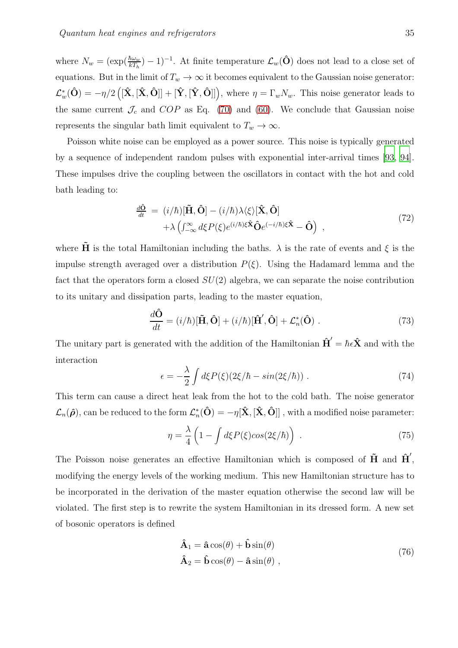where  $N_w = (\exp(\frac{\hbar \omega_w}{kT_h}) - 1)^{-1}$ . At finite temperature  $\mathcal{L}_w(\hat{\mathbf{O}})$  does not lead to a close set of equations. But in the limit of  $T_w \to \infty$  it becomes equivalent to the Gaussian noise generator:  $\mathcal{L}_{w}^{*}(\hat{\mathbf{O}}) = -\eta/2 \left( [\hat{\mathbf{X}}, [\hat{\mathbf{X}}, \hat{\mathbf{O}}]] + [\hat{\mathbf{Y}}, [\hat{\mathbf{Y}}, \hat{\mathbf{O}}]] \right)$ , where  $\eta = \Gamma_{w} N_{w}$ . This noise generator leads to the same current  $\mathcal{J}_c$  and  $COP$  as Eq. [\(70\)](#page-33-0) and [\(60\)](#page-29-1). We conclude that Gaussian noise represents the singular bath limit equivalent to  $T_w \to \infty$ .

Poisson white noise can be employed as a power source. This noise is typically generated by a sequence of independent random pulses with exponential inter-arrival times [\[93](#page-47-10), [94\]](#page-47-11). These impulses drive the coupling between the oscillators in contact with the hot and cold bath leading to:

<span id="page-34-0"></span>
$$
\frac{d\hat{\mathbf{O}}}{dt} = (i/\hbar)[\tilde{\mathbf{H}}, \hat{\mathbf{O}}] - (i/\hbar)\lambda\langle\xi\rangle[\hat{\mathbf{X}}, \hat{\mathbf{O}}] \n+ \lambda \left(\int_{-\infty}^{\infty} d\xi P(\xi) e^{(i/\hbar)\xi \hat{\mathbf{X}}} \hat{\mathbf{O}} e^{(-i/\hbar)\xi \hat{\mathbf{X}}} - \hat{\mathbf{O}}\right) ,
$$
\n(72)

where  $\tilde{H}$  is the total Hamiltonian including the baths.  $\lambda$  is the rate of events and  $\xi$  is the impulse strength averaged over a distribution  $P(\xi)$ . Using the Hadamard lemma and the fact that the operators form a closed  $SU(2)$  algebra, we can separate the noise contribution to its unitary and dissipation parts, leading to the master equation,

$$
\frac{d\hat{\mathbf{O}}}{dt} = (i/\hbar)[\tilde{\mathbf{H}}, \hat{\mathbf{O}}] + (i/\hbar)[\hat{\mathbf{H}}', \hat{\mathbf{O}}] + \mathcal{L}_n^*(\hat{\mathbf{O}}) .
$$
\n(73)

The unitary part is generated with the addition of the Hamiltonian  $\hat{H}' = \hbar \epsilon \hat{X}$  and with the interaction

$$
\epsilon = -\frac{\lambda}{2} \int d\xi P(\xi) (2\xi/\hbar - \sin(2\xi/\hbar)) \; . \tag{74}
$$

This term can cause a direct heat leak from the hot to the cold bath. The noise generator  $\mathcal{L}_n(\hat{\boldsymbol{\rho}})$ , can be reduced to the form  $\mathcal{L}^*_n(\hat{\mathbf{O}}) = -\eta[\hat{\mathbf{X}},[\hat{\mathbf{X}},\hat{\mathbf{O}}]]$  , with a modified noise parameter:

$$
\eta = \frac{\lambda}{4} \left( 1 - \int d\xi P(\xi) \cos(2\xi/\hbar) \right) \,. \tag{75}
$$

The Poisson noise generates an effective Hamiltonian which is composed of  $\tilde{H}$  and  $\tilde{H}$ <sup>'</sup>, modifying the energy levels of the working medium. This new Hamiltonian structure has to be incorporated in the derivation of the master equation otherwise the second law will be violated. The first step is to rewrite the system Hamiltonian in its dressed form. A new set of bosonic operators is defined

$$
\hat{\mathbf{A}}_1 = \hat{\mathbf{a}} \cos(\theta) + \hat{\mathbf{b}} \sin(\theta) \n\hat{\mathbf{A}}_2 = \hat{\mathbf{b}} \cos(\theta) - \hat{\mathbf{a}} \sin(\theta) ,
$$
\n(76)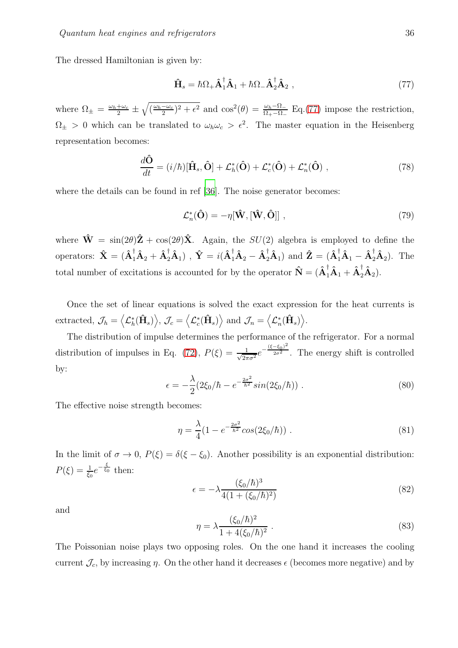The dressed Hamiltonian is given by:

<span id="page-35-0"></span>
$$
\hat{\mathbf{H}}_s = \hbar \Omega_+ \hat{\mathbf{A}}_1^\dagger \hat{\mathbf{A}}_1 + \hbar \Omega_- \hat{\mathbf{A}}_2^\dagger \hat{\mathbf{A}}_2 , \qquad (77)
$$

where  $\Omega_{\pm} = \frac{\omega_h + \omega_c}{2} \pm \sqrt{(\frac{\omega_h - \omega_c}{2})^2 + \epsilon^2}$  and  $\cos^2(\theta) = \frac{\omega_h - \Omega}{\Omega_{+} - \Omega_{-}}$  Eq.[\(77\)](#page-35-0) impose the restriction,  $\Omega_{\pm} > 0$  which can be translated to  $\omega_h \omega_c > \epsilon^2$ . The master equation in the Heisenberg representation becomes:

$$
\frac{d\hat{\mathbf{O}}}{dt} = (i/\hbar)[\hat{\mathbf{H}}_s, \hat{\mathbf{O}}] + \mathcal{L}_h^*(\hat{\mathbf{O}}) + \mathcal{L}_c^*(\hat{\mathbf{O}}) + \mathcal{L}_n^*(\hat{\mathbf{O}}),
$$
\n(78)

where the details can be found in ref [\[36](#page-44-1)]. The noise generator becomes:

$$
\mathcal{L}_n^*(\hat{\mathbf{O}}) = -\eta[\hat{\mathbf{W}}, [\hat{\mathbf{W}}, \hat{\mathbf{O}}]] \,, \tag{79}
$$

where  $\hat{\mathbf{W}} = \sin(2\theta)\hat{\mathbf{Z}} + \cos(2\theta)\hat{\mathbf{X}}$ . Again, the  $SU(2)$  algebra is employed to define the operators:  $\hat{\mathbf{X}} = (\hat{\mathbf{A}}_1^{\dagger} \hat{\mathbf{A}}_2 + \hat{\mathbf{A}}_2^{\dagger} \hat{\mathbf{A}}_1)$ ,  $\hat{\mathbf{Y}} = i(\hat{\mathbf{A}}_1^{\dagger} \hat{\mathbf{A}}_2 - \hat{\mathbf{A}}_2^{\dagger} \hat{\mathbf{A}}_1)$  and  $\hat{\mathbf{Z}} = (\hat{\mathbf{A}}_1^{\dagger} \hat{\mathbf{A}}_1 - \hat{\mathbf{A}}_2^{\dagger} \hat{\mathbf{A}}_2)$ . The total number of excitations is accounted for by the operator  $\mathbf{\hat{N}} = (\mathbf{\hat{A}}_1^{\dagger} \mathbf{\hat{A}}_1 + \mathbf{\hat{A}}_2^{\dagger} \mathbf{\hat{A}}_2).$ 

Once the set of linear equations is solved the exact expression for the heat currents is  $\text{extracted, } \mathcal{J}_h = \left\langle \mathcal{L}_h^*(\hat{\mathbf{H}}_s) \right\rangle, \, \mathcal{J}_c = \left\langle \mathcal{L}_c^*(\hat{\mathbf{H}}_s) \right\rangle \, \text{and } \mathcal{J}_n = \left\langle \mathcal{L}_n^*(\hat{\mathbf{H}}_s) \right\rangle.$ 

The distribution of impulse determines the performance of the refrigerator. For a normal distribution of impulses in Eq. [\(72\)](#page-34-0),  $P(\xi) = \frac{1}{\sqrt{2\pi}}$  $\frac{1}{2\pi\sigma^2}e^{-\frac{(\xi-\xi_0)^2}{2\sigma^2}}$  $\frac{1}{2\sigma^2}$ . The energy shift is controlled by:

$$
\epsilon = -\frac{\lambda}{2} \left( 2\xi_0 / \hbar - e^{-\frac{2\sigma^2}{\hbar^2}} \sin(2\xi_0 / \hbar) \right) \,. \tag{80}
$$

The effective noise strength becomes:

$$
\eta = \frac{\lambda}{4} (1 - e^{-\frac{2\sigma^2}{\hbar^2}} \cos(2\xi_0/\hbar)) \ . \tag{81}
$$

In the limit of  $\sigma \to 0$ ,  $P(\xi) = \delta(\xi - \xi_0)$ . Another possibility is an exponential distribution:  $P(\xi) = \frac{1}{\xi_0} e^{-\frac{\xi}{\xi_0}}$  then:

$$
\epsilon = -\lambda \frac{(\xi_0/\hbar)^3}{4(1 + (\xi_0/\hbar)^2)}
$$
(82)

and

$$
\eta = \lambda \frac{(\xi_0/\hbar)^2}{1 + 4(\xi_0/\hbar)^2} \ . \tag{83}
$$

The Poissonian noise plays two opposing roles. On the one hand it increases the cooling current  $\mathcal{J}_c$ , by increasing  $\eta$ . On the other hand it decreases  $\epsilon$  (becomes more negative) and by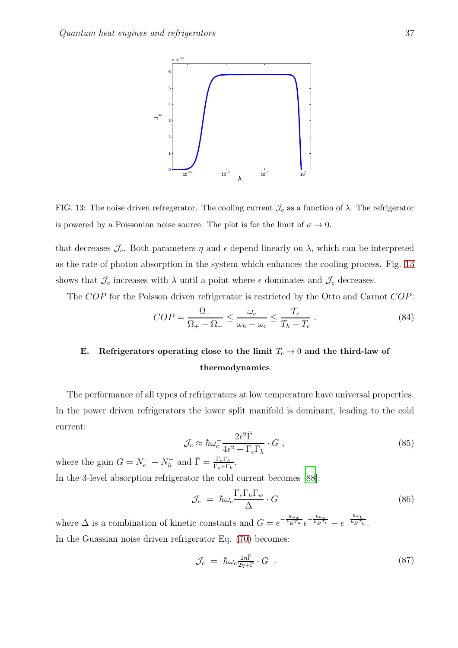

<span id="page-36-1"></span>FIG. 13: The noise driven refregerator. The cooling current  $\mathcal{J}_c$  as a function of  $\lambda$ . The refrigerator is powered by a Poissonian noise source. The plot is for the limit of  $\sigma \to 0$ .

that decreases  $\mathcal{J}_c$ . Both parameters  $\eta$  and  $\epsilon$  depend linearly on  $\lambda$ , which can be interpreted as the rate of photon absorption in the system which enhances the cooling process. Fig. [13](#page-36-1) shows that  $\mathcal{J}_c$  increases with  $\lambda$  until a point where  $\epsilon$  dominates and  $\mathcal{J}_c$  decreases.

The COP for the Poisson driven refrigerator is restricted by the Otto and Carnot COP:

$$
COP = \frac{\Omega_{-}}{\Omega_{+} - \Omega_{-}} \le \frac{\omega_c}{\omega_h - \omega_c} \le \frac{T_c}{T_h - T_c} \tag{84}
$$

# <span id="page-36-0"></span>E. Refrigerators operating close to the limit  $T_c \to 0$  and the third-law of thermodynamics

The performance of all types of refrigerators at low temperature have universal properties. In the power driven refrigerators the lower split manifold is dominant, leading to the cold current:

$$
\mathcal{J}_c \approx \hbar \omega_c^{-} \frac{2\epsilon^2 \bar{\Gamma}}{4\epsilon^2 + \Gamma_c \Gamma_h} \cdot G \ , \tag{85}
$$

where the gain  $G = N_c^- - N_h^-$  and  $\bar{\Gamma} = \frac{\Gamma_c \Gamma_h}{\Gamma_c + \Gamma_h}$ . In the 3-level absorption refrigerator the cold current becomes [\[88\]](#page-47-5):

$$
\Gamma P. P
$$

$$
\mathcal{J}_c = \hbar \omega_c \frac{\Gamma_c \Gamma_h \Gamma_w}{\Delta} \cdot G \tag{86}
$$

where  $\Delta$  is a combination of kinetic constants and  $G = e^{-\frac{\hbar\omega_w}{k_B T_w}}e^{-\frac{\hbar\omega_c}{k_B T_c}} - e^{-\frac{\hbar\omega_h}{k_B T_h}}$ . In the Guassian noise driven refrigerator Eq. [\(70\)](#page-33-0) becomes:

$$
\mathcal{J}_c = \hbar \omega_c \frac{2\eta \bar{\Gamma}}{2\eta + \bar{\Gamma}} \cdot G \quad . \tag{87}
$$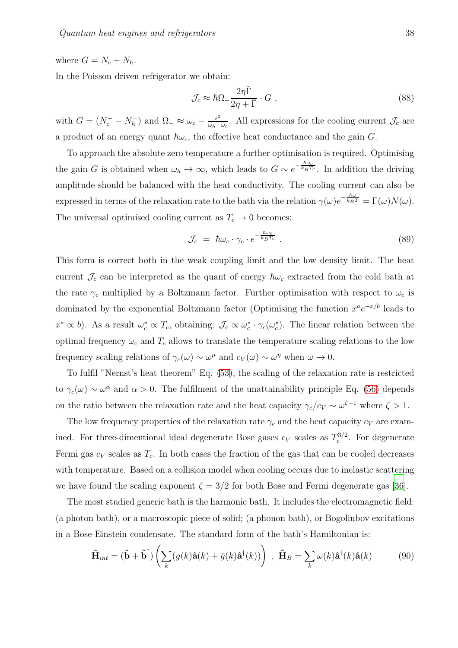where  $G = N_c - N_h$ .

In the Poisson driven refrigerator we obtain:

$$
\mathcal{J}_c \approx \hbar\Omega_{-}\frac{2\eta\bar{\Gamma}}{2\eta + \bar{\Gamma}} \cdot G , \qquad (88)
$$

with  $G = (N_c^- - N_h^+)$  $(\lambda_h^+)$  and  $\Omega_{-} \approx \omega_c - \frac{\epsilon^2}{\omega_h - \epsilon^2}$  $\frac{\epsilon^2}{\omega_h - \omega_c}$ . All expressions for the cooling current  $\mathcal{J}_c$  are a product of an energy quant  $\hbar\omega_c$ , the effective heat conductance and the gain G.

To approach the absolute zero temperature a further optimisation is required. Optimising the gain G is obtained when  $\omega_h \to \infty$ , which leads to  $G \sim e^{-\frac{\hbar \omega_c}{k_B T_c}}$ . In addition the driving amplitude should be balanced with the heat conductivity. The cooling current can also be expressed in terms of the relaxation rate to the bath via the relation  $\gamma(\omega)e^{-\frac{\hbar\omega}{k_BT}} = \Gamma(\omega)N(\omega)$ . The universal optimised cooling current as  $T_c \to 0$  becomes:

$$
\mathcal{J}_c = \hbar \omega_c \cdot \gamma_c \cdot e^{-\frac{\hbar \omega_c}{k_B T_c}} \tag{89}
$$

This form is correct both in the weak coupling limit and the low density limit. The heat current  $\mathcal{J}_c$  can be interpreted as the quant of energy  $\hbar\omega_c$  extracted from the cold bath at the rate  $\gamma_c$  multiplied by a Boltzmann factor. Further optimisation with respect to  $\omega_c$  is dominated by the exponential Boltzmann factor (Optimising the function  $x^a e^{-x/b}$  leads to  $x^* \propto b$ ). As a result  $\omega_c^* \propto T_c$ , obtaining:  $\mathcal{J}_c \propto \omega_c^* \cdot \gamma_c(\omega_c^*)$ . The linear relation between the optimal frequency  $\omega_c$  and  $T_c$  allows to translate the temperature scaling relations to the low frequency scaling relations of  $\gamma_c(\omega) \sim \omega^{\mu}$  and  $c_V(\omega) \sim \omega^{\eta}$  when  $\omega \to 0$ .

To fulfil "Nernst's heat theorem" Eq. [\(53\)](#page-26-0), the scaling of the relaxation rate is restricted to  $\gamma_c(\omega) \sim \omega^{\alpha}$  and  $\alpha > 0$ . The fulfilment of the unattainability principle Eq. [\(56\)](#page-27-3) depends on the ratio between the relaxation rate and the heat capacity  $\gamma_c/c_V \sim \omega^{\zeta-1}$  where  $\zeta > 1$ .

The low frequency properties of the relaxation rate  $\gamma_c$  and the heat capacity  $c_V$  are examined. For three-dimentional ideal degenerate Bose gases  $c_V$  scales as  $T_c^{3/2}$ . For degenerate Fermi gas  $c_V$  scales as  $T_c$ . In both cases the fraction of the gas that can be cooled decreases with temperature. Based on a collision model when cooling occurs due to inelastic scattering we have found the scaling exponent  $\zeta = 3/2$  for both Bose and Fermi degenerate gas [\[36\]](#page-44-1).

The most studied generic bath is the harmonic bath. It includes the electromagnetic field: (a photon bath), or a macroscopic piece of solid; (a phonon bath), or Bogoliubov excitations in a Bose-Einstein condensate. The standard form of the bath's Hamiltonian is:

$$
\hat{\mathbf{H}}_{int} = (\hat{\mathbf{b}} + \hat{\mathbf{b}}^{\dagger}) \left( \sum_{k} (g(k)\hat{\mathbf{a}}(k) + \bar{g}(k)\hat{\mathbf{a}}^{\dagger}(k)) \right) , \ \hat{\mathbf{H}}_{B} = \sum_{k} \omega(k)\hat{\mathbf{a}}^{\dagger}(k)\hat{\mathbf{a}}(k)
$$
(90)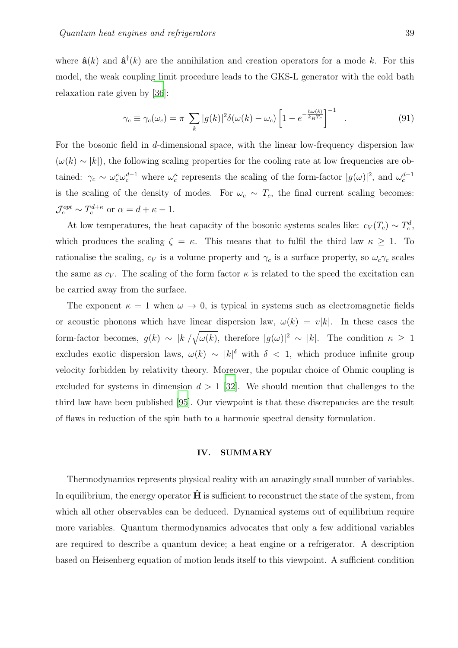where  $\hat{\mathbf{a}}(k)$  and  $\hat{\mathbf{a}}^{\dagger}(k)$  are the annihilation and creation operators for a mode k. For this model, the weak coupling limit procedure leads to the GKS-L generator with the cold bath relaxation rate given by [\[36\]](#page-44-1):

$$
\gamma_c \equiv \gamma_c(\omega_c) = \pi \sum_k |g(k)|^2 \delta(\omega(k) - \omega_c) \left[ 1 - e^{-\frac{\hbar \omega(k)}{k_B T_c}} \right]^{-1} \quad . \tag{91}
$$

For the bosonic field in d-dimensional space, with the linear low-frequency dispersion law  $(\omega(k) \sim |k|)$ , the following scaling properties for the cooling rate at low frequencies are obtained:  $\gamma_c \sim \omega_c^{\kappa} \omega_c^{d-1}$  where  $\omega_c^{\kappa}$  represents the scaling of the form-factor  $|g(\omega)|^2$ , and  $\omega_c^{d-1}$ is the scaling of the density of modes. For  $\omega_c \sim T_c$ , the final current scaling becomes:  $\mathcal{J}_c^{opt} \sim T_c^{d+\kappa}$  or  $\alpha = d+\kappa-1$ .

At low temperatures, the heat capacity of the bosonic systems scales like:  $c_V(T_c) \sim T_c^d$ , which produces the scaling  $\zeta = \kappa$ . This means that to fulfil the third law  $\kappa \geq 1$ . To rationalise the scaling,  $c_V$  is a volume property and  $\gamma_c$  is a surface property, so  $\omega_c \gamma_c$  scales the same as  $c_V$ . The scaling of the form factor  $\kappa$  is related to the speed the excitation can be carried away from the surface.

The exponent  $\kappa = 1$  when  $\omega \to 0$ , is typical in systems such as electromagnetic fields or acoustic phonons which have linear dispersion law,  $\omega(k) = v|k|$ . In these cases the form-factor becomes,  $g(k) \sim |k|/\sqrt{\omega(k)}$ , therefore  $|g(\omega)|^2 \sim |k|$ . The condition  $\kappa \geq 1$ excludes exotic dispersion laws,  $\omega(k) \sim |k|^\delta$  with  $\delta < 1$ , which produce infinite group velocity forbidden by relativity theory. Moreover, the popular choice of Ohmic coupling is excluded for systems in dimension  $d > 1$  [\[32](#page-43-1)]. We should mention that challenges to the third law have been published [\[95](#page-47-12)]. Our viewpoint is that these discrepancies are the result of flaws in reduction of the spin bath to a harmonic spectral density formulation.

#### <span id="page-38-0"></span>IV. SUMMARY

Thermodynamics represents physical reality with an amazingly small number of variables. In equilibrium, the energy operator  $\hat{H}$  is sufficient to reconstruct the state of the system, from which all other observables can be deduced. Dynamical systems out of equilibrium require more variables. Quantum thermodynamics advocates that only a few additional variables are required to describe a quantum device; a heat engine or a refrigerator. A description based on Heisenberg equation of motion lends itself to this viewpoint. A sufficient condition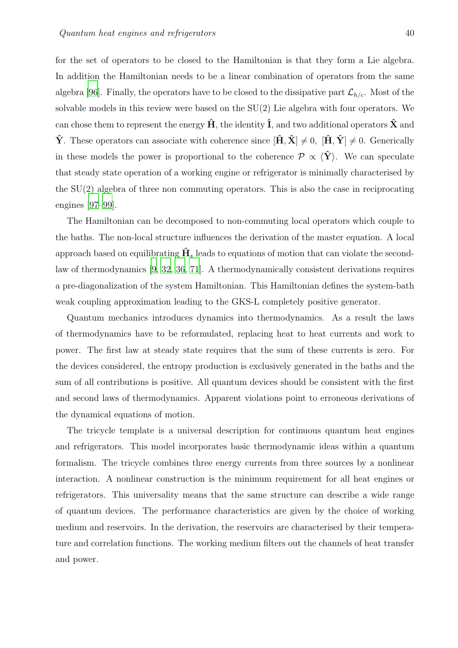for the set of operators to be closed to the Hamiltonian is that they form a Lie algebra. In addition the Hamiltonian needs to be a linear combination of operators from the same algebra [\[96\]](#page-47-13). Finally, the operators have to be closed to the dissipative part  $\mathcal{L}_{h/c}$ . Most of the solvable models in this review were based on the SU(2) Lie algebra with four operators. We can chose them to represent the energy  $\hat{H}$ , the identity  $\hat{I}$ , and two additional operators  $\hat{X}$  and  $\hat{\mathbf{Y}}$ . These operators can associate with coherence since  $[\hat{\mathbf{H}}, \hat{\mathbf{X}}] \neq 0$ ,  $[\hat{\mathbf{H}}, \hat{\mathbf{Y}}] \neq 0$ . Generically in these models the power is proportional to the coherence  $\mathcal{P} \propto \langle \hat{\mathbf{Y}} \rangle$ . We can speculate that steady state operation of a working engine or refrigerator is minimally characterised by the SU(2) algebra of three non commuting operators. This is also the case in reciprocating engines [\[97](#page-47-14)[–99\]](#page-48-0).

The Hamiltonian can be decomposed to non-commuting local operators which couple to the baths. The non-local structure influences the derivation of the master equation. A local approach based on equilibrating  $\hat{H}_s$  leads to equations of motion that can violate the secondlaw of thermodynamics [\[9](#page-42-9), [32,](#page-43-1) [36](#page-44-1), [71\]](#page-46-4). A thermodynamically consistent derivations requires a pre-diagonalization of the system Hamiltonian. This Hamiltonian defines the system-bath weak coupling approximation leading to the GKS-L completely positive generator.

Quantum mechanics introduces dynamics into thermodynamics. As a result the laws of thermodynamics have to be reformulated, replacing heat to heat currents and work to power. The first law at steady state requires that the sum of these currents is zero. For the devices considered, the entropy production is exclusively generated in the baths and the sum of all contributions is positive. All quantum devices should be consistent with the first and second laws of thermodynamics. Apparent violations point to erroneous derivations of the dynamical equations of motion.

The tricycle template is a universal description for continuous quantum heat engines and refrigerators. This model incorporates basic thermodynamic ideas within a quantum formalism. The tricycle combines three energy currents from three sources by a nonlinear interaction. A nonlinear construction is the minimum requirement for all heat engines or refrigerators. This universality means that the same structure can describe a wide range of quantum devices. The performance characteristics are given by the choice of working medium and reservoirs. In the derivation, the reservoirs are characterised by their temperature and correlation functions. The working medium filters out the channels of heat transfer and power.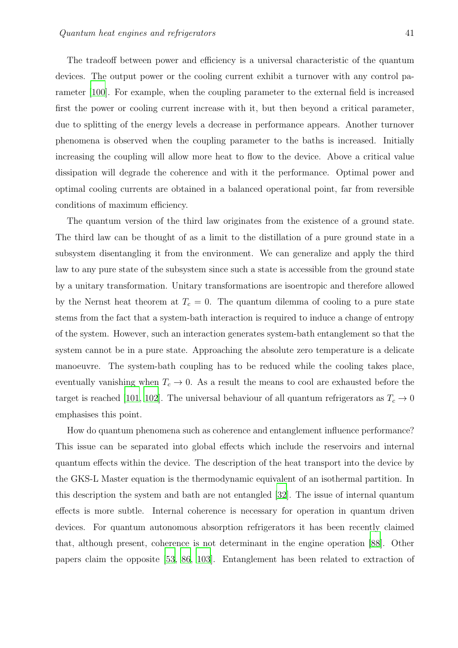The tradeoff between power and efficiency is a universal characteristic of the quantum devices. The output power or the cooling current exhibit a turnover with any control parameter [\[100\]](#page-48-1). For example, when the coupling parameter to the external field is increased first the power or cooling current increase with it, but then beyond a critical parameter, due to splitting of the energy levels a decrease in performance appears. Another turnover phenomena is observed when the coupling parameter to the baths is increased. Initially increasing the coupling will allow more heat to flow to the device. Above a critical value dissipation will degrade the coherence and with it the performance. Optimal power and optimal cooling currents are obtained in a balanced operational point, far from reversible conditions of maximum efficiency.

The quantum version of the third law originates from the existence of a ground state. The third law can be thought of as a limit to the distillation of a pure ground state in a subsystem disentangling it from the environment. We can generalize and apply the third law to any pure state of the subsystem since such a state is accessible from the ground state by a unitary transformation. Unitary transformations are isoentropic and therefore allowed by the Nernst heat theorem at  $T_c = 0$ . The quantum dilemma of cooling to a pure state stems from the fact that a system-bath interaction is required to induce a change of entropy of the system. However, such an interaction generates system-bath entanglement so that the system cannot be in a pure state. Approaching the absolute zero temperature is a delicate manoeuvre. The system-bath coupling has to be reduced while the cooling takes place, eventually vanishing when  $T_c \to 0$ . As a result the means to cool are exhausted before the target is reached [\[101,](#page-48-2) [102\]](#page-48-3). The universal behaviour of all quantum refrigerators as  $T_c \rightarrow 0$ emphasises this point.

How do quantum phenomena such as coherence and entanglement influence performance? This issue can be separated into global effects which include the reservoirs and internal quantum effects within the device. The description of the heat transport into the device by the GKS-L Master equation is the thermodynamic equivalent of an isothermal partition. In this description the system and bath are not entangled [\[32](#page-43-1)]. The issue of internal quantum effects is more subtle. Internal coherence is necessary for operation in quantum driven devices. For quantum autonomous absorption refrigerators it has been recently claimed that, although present, coherence is not determinant in the engine operation [\[88\]](#page-47-5). Other papers claim the opposite [\[53](#page-45-4), [86,](#page-47-3) [103](#page-48-4)]. Entanglement has been related to extraction of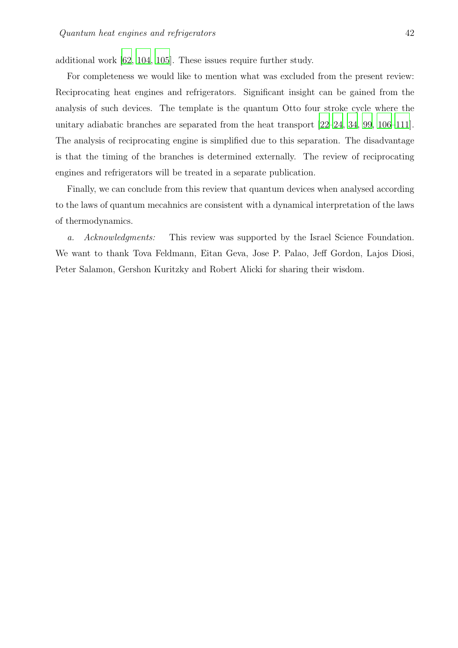additional work [\[62,](#page-45-9) [104,](#page-48-5) [105](#page-48-6)]. These issues require further study.

For completeness we would like to mention what was excluded from the present review: Reciprocating heat engines and refrigerators. Significant insight can be gained from the analysis of such devices. The template is the quantum Otto four stroke cycle where the unitary adiabatic branches are separated from the heat transport [\[22](#page-43-3)[–24](#page-43-4), [34](#page-44-14), [99](#page-48-0), [106](#page-48-7)[–111\]](#page-48-8). The analysis of reciprocating engine is simplified due to this separation. The disadvantage is that the timing of the branches is determined externally. The review of reciprocating engines and refrigerators will be treated in a separate publication.

Finally, we can conclude from this review that quantum devices when analysed according to the laws of quantum mecahnics are consistent with a dynamical interpretation of the laws of thermodynamics.

a. Acknowledgments: This review was supported by the Israel Science Foundation. We want to thank Tova Feldmann, Eitan Geva, Jose P. Palao, Jeff Gordon, Lajos Diosi, Peter Salamon, Gershon Kuritzky and Robert Alicki for sharing their wisdom.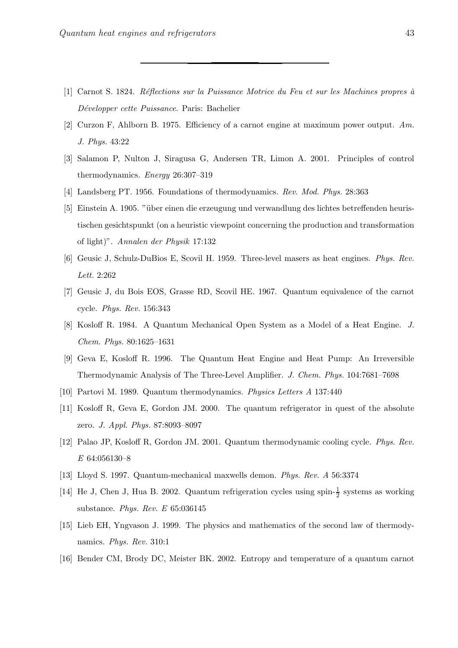- <span id="page-42-1"></span><span id="page-42-0"></span>[1] Carnot S. 1824. *R´eflections sur la Puissance Motrice du Feu et sur les Machines propres `a D´evelopper cette Puissance*. Paris: Bachelier
- <span id="page-42-2"></span>[2] Curzon F, Ahlborn B. 1975. Efficiency of a carnot engine at maximum power output. *Am. J. Phys.* 43:22
- <span id="page-42-3"></span>[3] Salamon P, Nulton J, Siragusa G, Andersen TR, Limon A. 2001. Principles of control thermodynamics. *Energy* 26:307–319
- <span id="page-42-5"></span><span id="page-42-4"></span>[4] Landsberg PT. 1956. Foundations of thermodynamics. *Rev. Mod. Phys.* 28:363
- [5] Einstein A. 1905. "über einen die erzeugung und verwandlung des lichtes betreffenden heuristischen gesichtspunkt (on a heuristic viewpoint concerning the production and transformation of light)". *Annalen der Physik* 17:132
- <span id="page-42-6"></span>[6] Geusic J, Schulz-DuBios E, Scovil H. 1959. Three-level masers as heat engines. *Phys. Rev. Lett.* 2:262
- <span id="page-42-7"></span>[7] Geusic J, du Bois EOS, Grasse RD, Scovil HE. 1967. Quantum equivalence of the carnot cycle. *Phys. Rev.* 156:343
- <span id="page-42-8"></span>[8] Kosloff R. 1984. A Quantum Mechanical Open System as a Model of a Heat Engine. *J. Chem. Phys.* 80:1625–1631
- <span id="page-42-9"></span>[9] Geva E, Kosloff R. 1996. The Quantum Heat Engine and Heat Pump: An Irreversible Thermodynamic Analysis of The Three-Level Amplifier. *J. Chem. Phys.* 104:7681–7698
- <span id="page-42-10"></span>[10] Partovi M. 1989. Quantum thermodynamics. *Physics Letters A* 137:440
- [11] Kosloff R, Geva E, Gordon JM. 2000. The quantum refrigerator in quest of the absolute zero. *J. Appl. Phys.* 87:8093–8097
- <span id="page-42-11"></span>[12] Palao JP, Kosloff R, Gordon JM. 2001. Quantum thermodynamic cooling cycle. *Phys. Rev. E* 64:056130–8
- [13] Lloyd S. 1997. Quantum-mechanical maxwells demon. *Phys. Rev. A* 56:3374
- [14] He J, Chen J, Hua B. 2002. Quantum refrigeration cycles using spin- $\frac{1}{2}$  systems as working substance. *Phys. Rev. E* 65:036145
- [15] Lieb EH, Yngvason J. 1999. The physics and mathematics of the second law of thermodynamics. *Phys. Rev.* 310:1
- [16] Bender CM, Brody DC, Meister BK. 2002. Entropy and temperature of a quantum carnot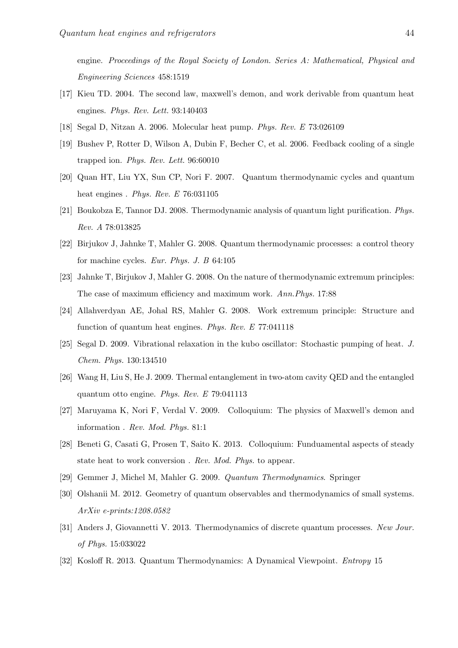engine. *Proceedings of the Royal Society of London. Series A: Mathematical, Physical and Engineering Sciences* 458:1519

- [17] Kieu TD. 2004. The second law, maxwell's demon, and work derivable from quantum heat engines. *Phys. Rev. Lett.* 93:140403
- [18] Segal D, Nitzan A. 2006. Molecular heat pump. *Phys. Rev. E* 73:026109
- [19] Bushev P, Rotter D, Wilson A, Dubin F, Becher C, et al. 2006. Feedback cooling of a single trapped ion. *Phys. Rev. Lett.* 96:60010
- [20] Quan HT, Liu YX, Sun CP, Nori F. 2007. Quantum thermodynamic cycles and quantum heat engines . *Phys. Rev. E* 76:031105
- <span id="page-43-2"></span>[21] Boukobza E, Tannor DJ. 2008. Thermodynamic analysis of quantum light purification. *Phys. Rev. A* 78:013825
- <span id="page-43-3"></span>[22] Birjukov J, Jahnke T, Mahler G. 2008. Quantum thermodynamic processes: a control theory for machine cycles. *Eur. Phys. J. B* 64:105
- <span id="page-43-0"></span>[23] Jahnke T, Birjukov J, Mahler G. 2008. On the nature of thermodynamic extremum principles: The case of maximum efficiency and maximum work. *Ann.Phys.* 17:88
- <span id="page-43-4"></span>[24] Allahverdyan AE, Johal RS, Mahler G. 2008. Work extremum principle: Structure and function of quantum heat engines. *Phys. Rev. E* 77:041118
- [25] Segal D. 2009. Vibrational relaxation in the kubo oscillator: Stochastic pumping of heat. *J. Chem. Phys.* 130:134510
- [26] Wang H, Liu S, He J. 2009. Thermal entanglement in two-atom cavity QED and the entangled quantum otto engine. *Phys. Rev. E* 79:041113
- [27] Maruyama K, Nori F, Verdal V. 2009. Colloquium: The physics of Maxwell's demon and information . *Rev. Mod. Phys.* 81:1
- [28] Beneti G, Casati G, Prosen T, Saito K. 2013. Colloquium: Funduamental aspects of steady state heat to work conversion . *Rev. Mod. Phys.* to appear.
- [29] Gemmer J, Michel M, Mahler G. 2009. *Quantum Thermodynamics*. Springer
- [30] Olshanii M. 2012. Geometry of quantum observables and thermodynamics of small systems. *ArXiv e-prints:1208.0582*
- [31] Anders J, Giovannetti V. 2013. Thermodynamics of discrete quantum processes. *New Jour. of Phys.* 15:033022
- <span id="page-43-1"></span>[32] Kosloff R. 2013. Quantum Thermodynamics: A Dynamical Viewpoint. *Entropy* 15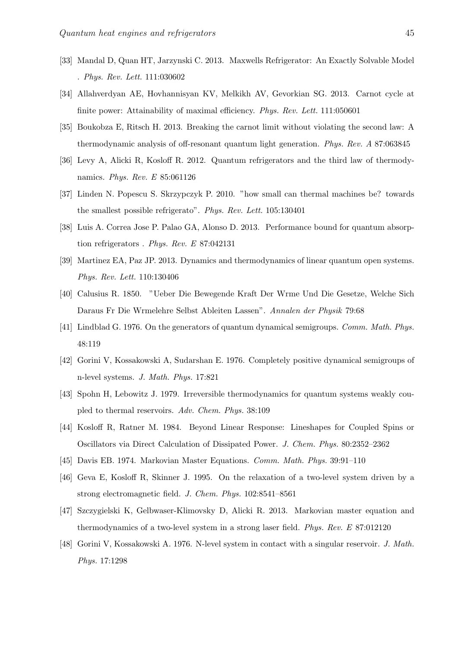- [33] Mandal D, Quan HT, Jarzynski C. 2013. Maxwells Refrigerator: An Exactly Solvable Model . *Phys. Rev. Lett.* 111:030602
- <span id="page-44-14"></span>[34] Allahverdyan AE, Hovhannisyan KV, Melkikh AV, Gevorkian SG. 2013. Carnot cycle at finite power: Attainability of maximal efficiency. *Phys. Rev. Lett.* 111:050601
- <span id="page-44-0"></span>[35] Boukobza E, Ritsch H. 2013. Breaking the carnot limit without violating the second law: A thermodynamic analysis of off-resonant quantum light generation. *Phys. Rev. A* 87:063845
- <span id="page-44-1"></span>[36] Levy A, Alicki R, Kosloff R. 2012. Quantum refrigerators and the third law of thermodynamics. *Phys. Rev. E* 85:061126
- <span id="page-44-13"></span>[37] Linden N. Popescu S. Skrzypczyk P. 2010. "how small can thermal machines be? towards the smallest possible refrigerato". *Phys. Rev. Lett.* 105:130401
- <span id="page-44-2"></span>[38] Luis A. Correa Jose P. Palao GA, Alonso D. 2013. Performance bound for quantum absorption refrigerators . *Phys. Rev. E* 87:042131
- <span id="page-44-3"></span>[39] Martinez EA, Paz JP. 2013. Dynamics and thermodynamics of linear quantum open systems. *Phys. Rev. Lett.* 110:130406
- <span id="page-44-4"></span>[40] Calusius R. 1850. "Ueber Die Bewegende Kraft Der Wrme Und Die Gesetze, Welche Sich Daraus Fr Die Wrmelehre Selbst Ableiten Lassen". *Annalen der Physik* 79:68
- <span id="page-44-5"></span>[41] Lindblad G. 1976. On the generators of quantum dynamical semigroups. *Comm. Math. Phys.* 48:119
- <span id="page-44-6"></span>[42] Gorini V, Kossakowski A, Sudarshan E. 1976. Completely positive dynamical semigroups of n-level systems. *J. Math. Phys.* 17:821
- <span id="page-44-7"></span>[43] Spohn H, Lebowitz J. 1979. Irreversible thermodynamics for quantum systems weakly coupled to thermal reservoirs. *Adv. Chem. Phys.* 38:109
- <span id="page-44-8"></span>[44] Kosloff R, Ratner M. 1984. Beyond Linear Response: Lineshapes for Coupled Spins or Oscillators via Direct Calculation of Dissipated Power. *J. Chem. Phys.* 80:2352–2362
- <span id="page-44-9"></span>[45] Davis EB. 1974. Markovian Master Equations. *Comm. Math. Phys.* 39:91–110
- <span id="page-44-10"></span>[46] Geva E, Kosloff R, Skinner J. 1995. On the relaxation of a two-level system driven by a strong electromagnetic field. *J. Chem. Phys.* 102:8541–8561
- <span id="page-44-11"></span>[47] Szczygielski K, Gelbwaser-Klimovsky D, Alicki R. 2013. Markovian master equation and thermodynamics of a two-level system in a strong laser field. *Phys. Rev. E* 87:012120
- <span id="page-44-12"></span>[48] Gorini V, Kossakowski A. 1976. N-level system in contact with a singular reservoir. *J. Math. Phys.* 17:1298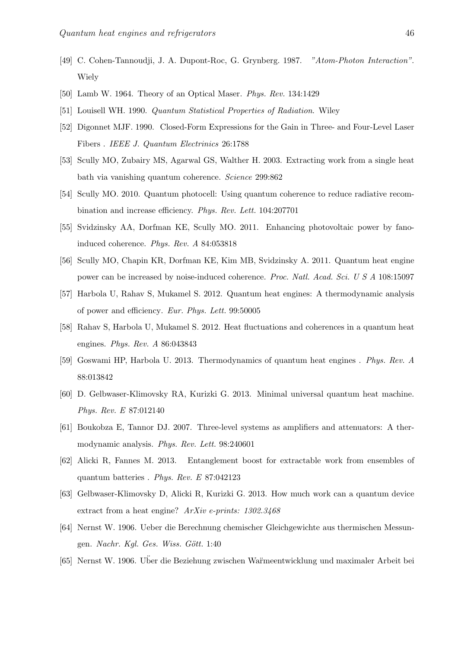- <span id="page-45-0"></span>[49] C. Cohen-Tannoudji, J. A. Dupont-Roc, G. Grynberg. 1987. *"Atom-Photon Interaction"*. **Wiely**
- <span id="page-45-1"></span>[50] Lamb W. 1964. Theory of an Optical Maser. *Phys. Rev.* 134:1429
- <span id="page-45-3"></span><span id="page-45-2"></span>[51] Louisell WH. 1990. *Quantum Statistical Properties of Radiation*. Wiley
- [52] Digonnet MJF. 1990. Closed-Form Expressions for the Gain in Three- and Four-Level Laser Fibers . *IEEE J. Quantum Electrinics* 26:1788
- <span id="page-45-4"></span>[53] Scully MO, Zubairy MS, Agarwal GS, Walther H. 2003. Extracting work from a single heat bath via vanishing quantum coherence. *Science* 299:862
- [54] Scully MO. 2010. Quantum photocell: Using quantum coherence to reduce radiative recombination and increase efficiency. *Phys. Rev. Lett.* 104:207701
- [55] Svidzinsky AA, Dorfman KE, Scully MO. 2011. Enhancing photovoltaic power by fanoinduced coherence. *Phys. Rev. A* 84:053818
- [56] Scully MO, Chapin KR, Dorfman KE, Kim MB, Svidzinsky A. 2011. Quantum heat engine power can be increased by noise-induced coherence. *Proc. Natl. Acad. Sci. U S A* 108:15097
- <span id="page-45-8"></span>[57] Harbola U, Rahav S, Mukamel S. 2012. Quantum heat engines: A thermodynamic analysis of power and efficiency. *Eur. Phys. Lett.* 99:50005
- [58] Rahav S, Harbola U, Mukamel S. 2012. Heat fluctuations and coherences in a quantum heat engines. *Phys. Rev. A* 86:043843
- <span id="page-45-5"></span>[59] Goswami HP, Harbola U. 2013. Thermodynamics of quantum heat engines . *Phys. Rev. A* 88:013842
- <span id="page-45-6"></span>[60] D. Gelbwaser-Klimovsky RA, Kurizki G. 2013. Minimal universal quantum heat machine. *Phys. Rev. E* 87:012140
- <span id="page-45-7"></span>[61] Boukobza E, Tannor DJ. 2007. Three-level systems as amplifiers and attenuators: A thermodynamic analysis. *Phys. Rev. Lett.* 98:240601
- <span id="page-45-9"></span>[62] Alicki R, Fannes M. 2013. Entanglement boost for extractable work from ensembles of quantum batteries . *Phys. Rev. E* 87:042123
- <span id="page-45-10"></span>[63] Gelbwaser-Klimovsky D, Alicki R, Kurizki G. 2013. How much work can a quantum device extract from a heat engine? *ArXiv e-prints: 1302.3468*
- <span id="page-45-11"></span>[64] Nernst W. 1906. Ueber die Berechnung chemischer Gleichgewichte aus thermischen Messungen. *Nachr. Kgl. Ges. Wiss. Gött.* 1:40
- [65] Nernst W. 1906. Uber die Beziehung zwischen Wa¨rmeentwicklung und maximale ¨ r Arbeit bei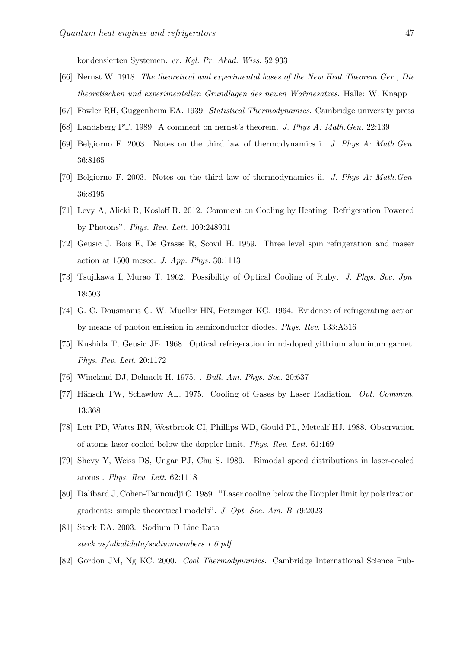kondensierten Systemen. *er. Kgl. Pr. Akad. Wiss.* 52:933

- <span id="page-46-0"></span>[66] Nernst W. 1918. *The theoretical and experimental bases of the New Heat Theorem Ger., Die theoretischen und experimentellen Grundlagen des neuen Wa¨rmesatzes*. Halle: W. Knapp
- <span id="page-46-2"></span><span id="page-46-1"></span>[67] Fowler RH, Guggenheim EA. 1939. *Statistical Thermodynamics*. Cambridge university press
- [68] Landsberg PT. 1989. A comment on nernst's theorem. *J. Phys A: Math.Gen.* 22:139
- [69] Belgiorno F. 2003. Notes on the third law of thermodynamics i. *J. Phys A: Math.Gen.* 36:8165
- <span id="page-46-3"></span>[70] Belgiorno F. 2003. Notes on the third law of thermodynamics ii. *J. Phys A: Math.Gen.* 36:8195
- <span id="page-46-4"></span>[71] Levy A, Alicki R, Kosloff R. 2012. Comment on Cooling by Heating: Refrigeration Powered by Photons". *Phys. Rev. Lett.* 109:248901
- <span id="page-46-5"></span>[72] Geusic J, Bois E, De Grasse R, Scovil H. 1959. Three level spin refrigeration and maser action at 1500 mcsec. *J. App. Phys.* 30:1113
- [73] Tsujikawa I, Murao T. 1962. Possibility of Optical Cooling of Ruby. *J. Phys. Soc. Jpn.* 18:503
- [74] G. C. Dousmanis C. W. Mueller HN, Petzinger KG. 1964. Evidence of refrigerating action by means of photon emission in semiconductor diodes. *Phys. Rev.* 133:A316
- <span id="page-46-6"></span>[75] Kushida T, Geusic JE. 1968. Optical refrigeration in nd-doped yittrium aluminum garnet. *Phys. Rev. Lett.* 20:1172
- <span id="page-46-7"></span>[76] Wineland DJ, Dehmelt H. 1975. . *Bull. Am. Phys. Soc.* 20:637
- <span id="page-46-8"></span>[77] Hänsch TW, Schawlow AL. 1975. Cooling of Gases by Laser Radiation. *Opt. Commun.* 13:368
- <span id="page-46-9"></span>[78] Lett PD, Watts RN, Westbrook CI, Phillips WD, Gould PL, Metcalf HJ. 1988. Observation of atoms laser cooled below the doppler limit. *Phys. Rev. Lett.* 61:169
- [79] Shevy Y, Weiss DS, Ungar PJ, Chu S. 1989. Bimodal speed distributions in laser-cooled atoms . *Phys. Rev. Lett.* 62:1118
- <span id="page-46-10"></span>[80] Dalibard J, Cohen-Tannoudji C. 1989. "Laser cooling below the Doppler limit by polarization gradients: simple theoretical models". *J. Opt. Soc. Am. B* 79:2023
- <span id="page-46-11"></span>[81] Steck DA. 2003. Sodium D Line Data *steck.us/alkalidata/sodiumnumbers.1.6.pdf*
- <span id="page-46-12"></span>[82] Gordon JM, Ng KC. 2000. *Cool Thermodynamics*. Cambridge International Science Pub-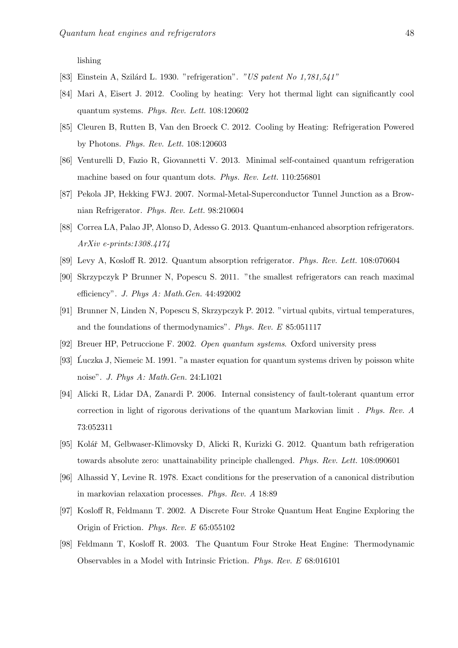lishing

- <span id="page-47-1"></span><span id="page-47-0"></span>[83] Einstein A, Szil´ard L. 1930. "refrigeration". *"US patent No 1,781,541"*
- [84] Mari A, Eisert J. 2012. Cooling by heating: Very hot thermal light can significantly cool quantum systems. *Phys. Rev. Lett.* 108:120602
- <span id="page-47-2"></span>[85] Cleuren B, Rutten B, Van den Broeck C. 2012. Cooling by Heating: Refrigeration Powered by Photons. *Phys. Rev. Lett.* 108:120603
- <span id="page-47-3"></span>[86] Venturelli D, Fazio R, Giovannetti V. 2013. Minimal self-contained quantum refrigeration machine based on four quantum dots. *Phys. Rev. Lett.* 110:256801
- <span id="page-47-4"></span>[87] Pekola JP, Hekking FWJ. 2007. Normal-Metal-Superconductor Tunnel Junction as a Brownian Refrigerator. *Phys. Rev. Lett.* 98:210604
- <span id="page-47-5"></span>[88] Correa LA, Palao JP, Alonso D, Adesso G. 2013. Quantum-enhanced absorption refrigerators. *ArXiv e-prints:1308.4174*
- <span id="page-47-7"></span><span id="page-47-6"></span>[89] Levy A, Kosloff R. 2012. Quantum absorption refrigerator. *Phys. Rev. Lett.* 108:070604
- [90] Skrzypczyk P Brunner N, Popescu S. 2011. "the smallest refrigerators can reach maximal efficiency". *J. Phys A: Math.Gen.* 44:492002
- <span id="page-47-8"></span>[91] Brunner N, Linden N, Popescu S, Skrzypczyk P. 2012. "virtual qubits, virtual temperatures, and the foundations of thermodynamics". *Phys. Rev. E* 85:051117
- <span id="page-47-9"></span>[92] Breuer HP, Petruccione F. 2002. *Open quantum systems*. Oxford university press
- <span id="page-47-10"></span>[93] Luczka J, Niemeic M. 1991. "a master equation for quantum systems driven by poisson white noise". *J. Phys A: Math.Gen.* 24:L1021
- <span id="page-47-11"></span>[94] Alicki R, Lidar DA, Zanardi P. 2006. Internal consistency of fault-tolerant quantum error correction in light of rigorous derivations of the quantum Markovian limit . *Phys. Rev. A* 73:052311
- <span id="page-47-12"></span>[95] Kolář M, Gelbwaser-Klimovsky D, Alicki R, Kurizki G. 2012. Quantum bath refrigeration towards absolute zero: unattainability principle challenged. *Phys. Rev. Lett.* 108:090601
- <span id="page-47-13"></span>[96] Alhassid Y, Levine R. 1978. Exact conditions for the preservation of a canonical distribution in markovian relaxation processes. *Phys. Rev. A* 18:89
- <span id="page-47-14"></span>[97] Kosloff R, Feldmann T. 2002. A Discrete Four Stroke Quantum Heat Engine Exploring the Origin of Friction. *Phys. Rev. E* 65:055102
- [98] Feldmann T, Kosloff R. 2003. The Quantum Four Stroke Heat Engine: Thermodynamic Observables in a Model with Intrinsic Friction. *Phys. Rev. E* 68:016101